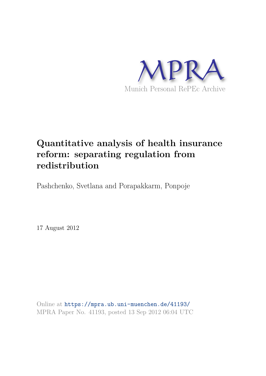

# **Quantitative analysis of health insurance reform: separating regulation from redistribution**

Pashchenko, Svetlana and Porapakkarm, Ponpoje

17 August 2012

Online at https://mpra.ub.uni-muenchen.de/41193/ MPRA Paper No. 41193, posted 13 Sep 2012 06:04 UTC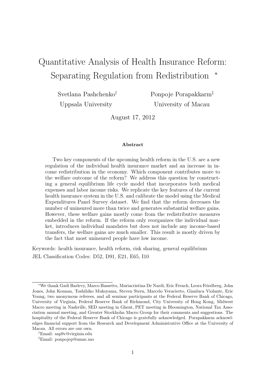# Quantitative Analysis of Health Insurance Reform: Separating Regulation from Redistribution

Svetlana Pashchenko† Ponpoje Porapakkarm‡ Uppsala University University of Macau

August 17, 2012

#### Abstract

Two key components of the upcoming health reform in the U.S. are a new regulation of the individual health insurance market and an increase in income redistribution in the economy. Which component contributes more to the welfare outcome of the reform? We address this question by constructing a general equilibrium life cycle model that incorporates both medical expenses and labor income risks. We replicate the key features of the current health insurance system in the U.S. and calibrate the model using the Medical Expenditures Panel Survey dataset. We find that the reform decreases the number of uninsured more than twice and generates substantial welfare gains. However, these welfare gains mostly come from the redistributive measures embedded in the reform. If the reform only reorganizes the individual market, introduces individual mandates but does not include any income-based transfers, the welfare gains are much smaller. This result is mostly driven by the fact that most uninsured people have low income.

Keywords: health insurance, health reform, risk sharing, general equilibrium JEL Classification Codes: D52, D91, E21, E65, I10

<sup>∗</sup>We thank Gadi Barlevy, Marco Bassetto, Mariacristina De Nardi, Eric French, Leora Friedberg, John Jones, John Kennan, Toshihiko Mukoyama, Steven Stern, Marcelo Veracierto, Gianluca Violante, Eric Young, two anonymous referees, and all seminar participants at the Federal Reserve Bank of Chicago, University of Virginia, Federal Reserve Bank of Richmond, City University of Hong Kong, Midwest Macro meeting in Nashville, SED meeting in Ghent, PET meeting in Bloomington, National Tax Association annual meeting, and Greater Stockholm Macro Group for their comments and suggestions. The hospitality of the Federal Reserve Bank of Chicago is gratefully acknowledged. Porapakkarm acknowledges financial support from the Research and Development Administrative Office at the University of Macau. All errors are our own.

<sup>†</sup>Email: sap9v@virginia.edu

<sup>‡</sup>Email: ponpojep@umac.mo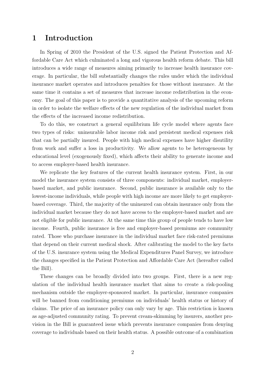## 1 Introduction

In Spring of 2010 the President of the U.S. signed the Patient Protection and Affordable Care Act which culminated a long and vigorous health reform debate. This bill introduces a wide range of measures aiming primarily to increase health insurance coverage. In particular, the bill substantially changes the rules under which the individual insurance market operates and introduces penalties for those without insurance. At the same time it contains a set of measures that increase income redistribution in the economy. The goal of this paper is to provide a quantitative analysis of the upcoming reform in order to isolate the welfare effects of the new regulation of the individual market from the effects of the increased income redistribution.

To do this, we construct a general equilibrium life cycle model where agents face two types of risks: uninsurable labor income risk and persistent medical expenses risk that can be partially insured. People with high medical expenses have higher disutility from work and suffer a loss in productivity. We allow agents to be heterogeneous by educational level (exogenously fixed), which affects their ability to generate income and to access employer-based health insurance.

We replicate the key features of the current health insurance system. First, in our model the insurance system consists of three components: individual market, employerbased market, and public insurance. Second, public insurance is available only to the lowest-income individuals, while people with high income are more likely to get employerbased coverage. Third, the majority of the uninsured can obtain insurance only from the individual market because they do not have access to the employer-based market and are not eligible for public insurance. At the same time this group of people tends to have low income. Fourth, public insurance is free and employer-based premiums are community rated. Those who purchase insurance in the individual market face risk-rated premiums that depend on their current medical shock. After calibrating the model to the key facts of the U.S. insurance system using the Medical Expenditures Panel Survey, we introduce the changes specified in the Patient Protection and Affordable Care Act (hereafter called the Bill).

These changes can be broadly divided into two groups. First, there is a new regulation of the individual health insurance market that aims to create a risk-pooling mechanism outside the employer-sponsored market. In particular, insurance companies will be banned from conditioning premiums on individuals' health status or history of claims. The price of an insurance policy can only vary by age. This restriction is known as age-adjusted community rating. To prevent cream-skimming by insurers, another provision in the Bill is guaranteed issue which prevents insurance companies from denying coverage to individuals based on their health status. A possible outcome of a combination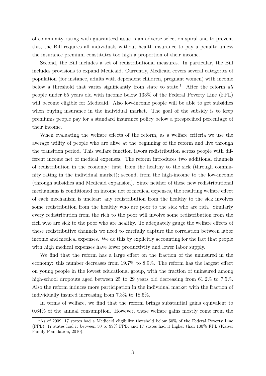of community rating with guaranteed issue is an adverse selection spiral and to prevent this, the Bill requires all individuals without health insurance to pay a penalty unless the insurance premium constitutes too high a proportion of their income.

Second, the Bill includes a set of redistributional measures. In particular, the Bill includes provisions to expand Medicaid. Currently, Medicaid covers several categories of population (for instance, adults with dependent children, pregnant women) with income below a threshold that varies significantly from state to state.<sup>1</sup> After the reform all people under 65 years old with income below 133% of the Federal Poverty Line (FPL) will become eligible for Medicaid. Also low-income people will be able to get subsidies when buying insurance in the individual market. The goal of the subsidy is to keep premiums people pay for a standard insurance policy below a prespecified percentage of their income.

When evaluating the welfare effects of the reform, as a welfare criteria we use the average utility of people who are alive at the beginning of the reform and live through the transition period. This welfare function favors redistribution across people with different income net of medical expenses. The reform introduces two additional channels of redistribution in the economy: first, from the healthy to the sick (through community rating in the individual market); second, from the high-income to the low-income (through subsidies and Medicaid expansion). Since neither of these new redistributional mechanisms is conditioned on income net of medical expenses, the resulting welfare effect of each mechanism is unclear: any redistribution from the healthy to the sick involves some redistribution from the healthy who are poor to the sick who are rich. Similarly every redistribution from the rich to the poor will involve some redistribution from the rich who are sick to the poor who are healthy. To adequately gauge the welfare effects of these redistributive channels we need to carefully capture the correlation between labor income and medical expenses. We do this by explicitly accounting for the fact that people with high medical expenses have lower productivity and lower labor supply.

We find that the reform has a large effect on the fraction of the uninsured in the economy: this number decreases from 19.7% to 8.9%. The reform has the largest effect on young people in the lowest educational group, with the fraction of uninsured among high-school dropouts aged between 25 to 29 years old decreasing from 61.2\% to 7.5\%. Also the reform induces more participation in the individual market with the fraction of individually insured increasing from 7.3% to 18.5%.

In terms of welfare, we find that the reform brings substantial gains equivalent to 0.64% of the annual consumption. However, these welfare gains mostly come from the

<sup>&</sup>lt;sup>1</sup>As of 2009, 17 states had a Medicaid eligibility threshold below 50% of the Federal Poverty Line (FPL), 17 states had it between 50 to 99% FPL, and 17 states had it higher than 100% FPL (Kaiser Family Foundation, 2010).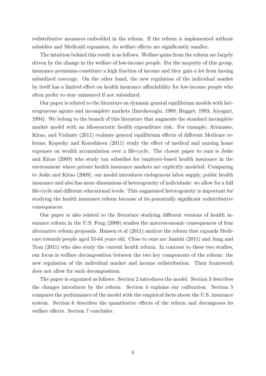redistributive measures embedded in the reform. If the reform is implemented without subsidies and Medicaid expansion, its welfare effects are significantly smaller.

The intuition behind this result is as follows. Welfare gains from the reform are largely driven by the change in the welfare of low-income people. For the majority of this group, insurance premiums constitute a high fraction of income and they gain a lot from having subsidized coverage. On the other hand, the new regulation of the individual market by itself has a limited effect on health insurance affordability for low-income people who often prefer to stay uninsured if not subsidized.

Our paper is related to the literature on dynamic general equilibrium models with heterogeneous agents and incomplete markets (Imrohoroglu, 1989; Hugget, 1993; Aiyagari, 1994). We belong to the branch of this literature that augments the standard incomplete market model with an idiosyncratic health expenditure risk. For example, Attanasio, Kitao, and Violante (2011) evaluate general equilibrium effects of different Medicare reforms; Kopecky and Koreshkova (2011) study the effect of medical and nursing home expenses on wealth accumulation over a life-cycle. The closest paper to ours is Jeske and Kitao (2009) who study tax subsidies for employer-based health insurance in the environment where private health insurance markets are explicitly modeled. Comparing to Jeske and Kitao (2009), our model introduces endogenous labor supply, public health insurance and also has more dimensions of heterogeneity of individuals: we allow for a full life-cycle and different educational levels. This augmented heterogeneity is important for studying the health insurance reform because of its potentially significant redistributive consequences.

Our paper is also related to the literature studying different versions of health insurance reform in the U.S. Feng (2009) studies the macroeconomic consequences of four alternative reform proposals. Hansen et al (2011) analyze the reform that expands Medicare towards people aged 55-64 years old. Close to ours are Janicki (2011) and Jung and Tran (2011) who also study the current health reform. In contrast to these two studies, our focus is welfare decomposition between the two key components of the reform: the new regulation of the individual market and income redistribution. Their framework does not allow for such decomposition.

The paper is organized as follows. Section 2 introduces the model. Section 3 describes the changes introduces by the reform. Section 4 explains our calibration. Section 5 compares the performance of the model with the empirical facts about the U.S. insurance system. Section 6 describes the quantitative effects of the reform and decomposes its welfare effects. Section 7 concludes.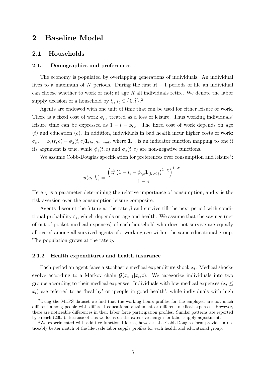## 2 Baseline Model

#### 2.1 Households

#### 2.1.1 Demographics and preferences

The economy is populated by overlapping generations of individuals. An individual lives to a maximum of N periods. During the first  $R-1$  periods of life an individual can choose whether to work or not; at age R all individuals retire. We denote the labor supply decision of a household by  $l_t$ ,  $l_t \in \{0, \overline{l}\}$ .<sup>2</sup>

Agents are endowed with one unit of time that can be used for either leisure or work. There is a fixed cost of work  $\phi_{t,e}$  treated as a loss of leisure. Thus working individuals' leisure time can be expressed as  $1 - \overline{l} - \phi_{t,e}$ . The fixed cost of work depends on age  $(t)$  and education  $(e)$ . In addition, individuals in bad health incur higher costs of work:  $\phi_{t,e} = \phi_1(t,e) + \phi_2(t,e) \mathbf{1}_{\{health = bad\}}$  where  $\mathbf{1}_{\{\cdot\}}$  is an indicator function mapping to one if its argument is true, while  $\phi_1(t, e)$  and  $\phi_2(t, e)$  are non-negative functions.

We assume Cobb-Douglas specification for preferences over consumption and leisure<sup>3</sup>:

$$
u(c_t, l_t) = \frac{\left(c_t^{\chi} \left(1 - l_t - \phi_{t,e} \mathbf{1}_{\{l_t > 0\}}\right)^{1 - \chi}\right)^{1 - \sigma}}{1 - \sigma}.
$$

Here  $\chi$  is a parameter determining the relative importance of consumption, and  $\sigma$  is the risk-aversion over the consumption-leisure composite.

Agents discount the future at the rate  $\beta$  and survive till the next period with conditional probability  $\zeta_t$ , which depends on age and health. We assume that the savings (net of out-of-pocket medical expenses) of each household who does not survive are equally allocated among all survived agents of a working age within the same educational group. The population grows at the rate  $\eta$ .

#### 2.1.2 Health expenditures and health insurance

Each period an agent faces a stochastic medical expenditure shock  $x_t$ . Medical shocks evolve according to a Markov chain  $\mathcal{G}(x_{t+1}|x_t,t)$ . We categorize individuals into two groups according to their medical expenses. Individuals with low medical expenses ( $x_t \leq$  $\overline{x_t}$  are referred to as 'healthy' or 'people in good health', while individuals with high

<sup>&</sup>lt;sup>2</sup>Using the MEPS dataset we find that the working hours profiles for the employed are not much different among people with different educational attainment or different medical expenses. However, there are noticeable differences in their labor force participation profiles. Similar patterns are reported by French (2005). Because of this we focus on the extensive margin for labor supply adjustment.

<sup>3</sup>We experimented with additive functional forms, however, the Cobb-Douglas form provides a noticeably better match of the life-cycle labor supply profiles for each health and educational group.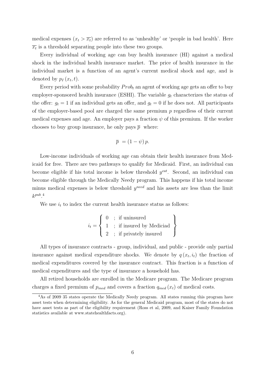medical expenses  $(x_t > \overline{x_t})$  are referred to as 'unhealthy' or 'people in bad health'. Here  $\overline{x_t}$  is a threshold separating people into these two groups.

Every individual of working age can buy health insurance (HI) against a medical shock in the individual health insurance market. The price of health insurance in the individual market is a function of an agent's current medical shock and age, and is denoted by  $p_I(x_t, t)$ .

Every period with some probability  $Prob<sub>t</sub>$  an agent of working age gets an offer to buy employer-sponsored health insurance (ESHI). The variable  $g_t$  characterizes the status of the offer:  $g_t = 1$  if an individual gets an offer, and  $g_t = 0$  if he does not. All participants of the employer-based pool are charged the same premium p regardless of their current medical expenses and age. An employer pays a fraction  $\psi$  of this premium. If the worker chooses to buy group insurance, he only pays  $\bar{p}$  where:

$$
\overline{p} = (1 - \psi) p.
$$

Low-income individuals of working age can obtain their health insurance from Medicaid for free. There are two pathways to qualify for Medicaid. First, an individual can become eligible if his total income is below threshold  $y^{cat}$ . Second, an individual can become eligible through the Medically Needy program. This happens if his total income minus medical expenses is below threshold  $y^{need}$  and his assets are less than the limit  $k^{pub}$ .<sup>4</sup>

We use  $i_t$  to index the current health insurance status as follows:

$$
i_t = \left\{ \begin{array}{ll} 0 & ; \ \hbox{if uninsured} \\ 1 & ; \ \hbox{if insured by Medical} \\ 2 & ; \ \hbox{if privately insured} \end{array} \right\}
$$

All types of insurance contracts - group, individual, and public - provide only partial insurance against medical expenditure shocks. We denote by  $q(x_t, i_t)$  the fraction of medical expenditures covered by the insurance contract. This fraction is a function of medical expenditures and the type of insurance a household has.

All retired households are enrolled in the Medicare program. The Medicare program charges a fixed premium of  $p_{med}$  and covers a fraction  $q_{med}(x_t)$  of medical costs.

<sup>4</sup>As of 2009 35 states operate the Medically Needy program. All states running this program have asset tests when determining eligibility. As for the general Medicaid program, most of the states do not have asset tests as part of the eligibility requirement (Ross et al, 2009, and Kaiser Family Foundation statistics available at www.statehealthfacts.org).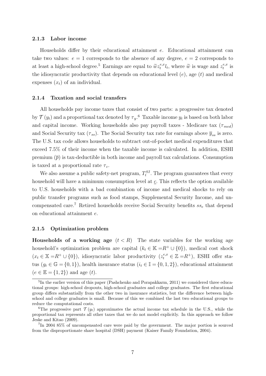#### 2.1.3 Labor income

Households differ by their educational attainment e. Educational attainment can take two values:  $e = 1$  corresponds to the absence of any degree,  $e = 2$  corresponds to at least a high-school degree.<sup>5</sup> Earnings are equal to  $\widetilde{w}z_t^{e,x}$  $t^{e,x}_t l_t$ , where  $\widetilde{w}$  is wage and  $z_t^{e,x}$  $\boldsymbol{e}^{e,x}_t$  is the idiosyncratic productivity that depends on educational level  $(e)$ , age  $(t)$  and medical expenses  $(x_t)$  of an individual.

#### 2.1.4 Taxation and social transfers

All households pay income taxes that consist of two parts: a progressive tax denoted by  $\mathcal{T}(y_t)$  and a proportional tax denoted by  $\tau_y$ .<sup>6</sup> Taxable income  $y_t$  is based on both labor and capital income. Working households also pay payroll taxes - Medicare tax  $(\tau_{med})$ and Social Security tax  $(\tau_{ss})$ . The Social Security tax rate for earnings above  $\bar{y}_{ss}$  is zero. The U.S. tax code allows households to subtract out-of-pocket medical expenditures that exceed 7.5% of their income when the taxable income is calculated. In addition, ESHI premium  $(\bar{p})$  is tax-deductible in both income and payroll tax calculations. Consumption is taxed at a proportional rate  $\tau_c$ .

We also assume a public safety-net program,  $T_t^{SI}$ . The program guarantees that every household will have a minimum consumption level at  $c$ . This reflects the option available to U.S. households with a bad combination of income and medical shocks to rely on public transfer programs such as food stamps, Supplemental Security Income, and uncompensated care.<sup>7</sup> Retired households receive Social Security benefits  $ss_e$  that depend on educational attainment e.

#### 2.1.5 Optimization problem

**Households of a working age**  $(t < R)$  The state variables for the working age household's optimization problem are capital  $(k_t \in \mathbb{K} = R^+ \cup \{0\})$ , medical cost shock  $(x_t \in \mathbb{X} = R^+ \cup \{0\})$ , idiosyncratic labor productivity  $(z_t^{e,x} \in \mathbb{Z} = R^+)$ , ESHI offer status  $(g_t \in \mathbb{G} = \{0,1\})$ , health insurance status  $(i_t \in \mathbb{I} = \{0,1,2\})$ , educational attainment  $(e \in \mathbb{E} = \{1, 2\})$  and age  $(t)$ .

<sup>&</sup>lt;sup>5</sup>In the earlier version of this paper (Pashchenko and Porapakkarm, 2011) we considered three educational groups: high-school dropouts, high-school graduates and college graduates. The first educational group differs substantially from the other two in insurance statistics, but the difference between highschool and college graduates is small. Because of this we combined the last two educational groups to reduce the computational costs.

<sup>&</sup>lt;sup>6</sup>The progressive part  $\mathcal{T}(y_t)$  approximates the actual income tax schedule in the U.S., while the proportional tax represents all other taxes that we do not model explicitly. In this approach we follow Jeske and Kitao (2009).

<sup>7</sup> In 2004 85% of uncompensated care were paid by the government. The major portion is sourced from the disproportionate share hospital (DSH) payment (Kaiser Family Foundation, 2004).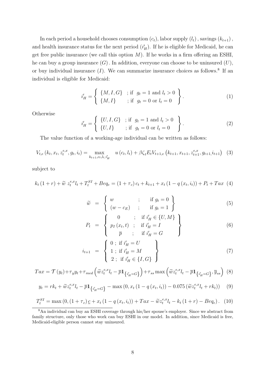In each period a household chooses consumption  $(c_t)$ , labor supply  $(l_t)$ , savings  $(k_{t+1})$ , and health insurance status for the next period  $(i'_H)$ . If he is eligible for Medicaid, he can get free public insurance (we call this option  $M$ ). If he works in a firm offering an ESHI, he can buy a group insurance  $(G)$ . In addition, everyone can choose to be uninsured  $(U)$ , or buy individual insurance  $(I)$ . We can summarize insurance choices as follows.<sup>8</sup> If an individual is eligible for Medicaid:

$$
i'_H = \left\{ \begin{array}{ll} \{M, I, G\} & \text{; if } g_t = 1 \text{ and } l_t > 0 \\ \{M, I\} & \text{; if } g_t = 0 \text{ or } l_t = 0 \end{array} \right\}.
$$
 (1)

**Otherwise** 

$$
i'_H = \begin{cases} \{U, I, G\} & \text{; if } g_t = 1 \text{ and } l_t > 0 \\ \{U, I\} & \text{; if } g_t = 0 \text{ or } l_t = 0 \end{cases}.
$$
 (2)

The value function of a working-age individual can be written as follows:

$$
V_{t,e}(k_t, x_t, z_t^{e,x}, g_t, i_t) = \max_{k_{t+1}, c_t, l_t, i'_H} u(c_t, l_t) + \beta \zeta_t E_t V_{t+1,e}(k_{t+1}, x_{t+1}, z_{t+1}^{e,x}, g_{t+1}, i_{t+1})
$$
(3)

subject to

$$
k_t (1+r) + \widetilde{w} z_t^{e,x} l_t + T_t^{SI} + Beq_e = (1+\tau_c)c_t + k_{t+1} + x_t (1-q(x_t, i_t)) + P_t + Tax
$$
 (4)

$$
\widetilde{w} = \begin{cases}\nw & ; \quad \text{if } g_t = 0 \\
(w - c_E) & ; \quad \text{if } g_t = 1\n\end{cases}
$$
\n(5)

$$
P_{t} = \left\{ \begin{array}{rcl} 0 & ; & \text{if } i'_{H} \in \{U, M\} \\ p_{I}(x_{t}, t) & ; & \text{if } i'_{H} = I \\ \overline{p} & ; & \text{if } i'_{H} = G \end{array} \right\}
$$
(6)

$$
i_{t+1} = \left\{ \begin{array}{l} 0; \text{ if } i'_H = U \\ 1; \text{ if } i'_H = M \\ 2; \text{ if } i'_H \in \{I, G\} \end{array} \right\} \tag{7}
$$

$$
Tax = \mathcal{T}(y_t) + \tau_y y_t + \tau_{med} \left( \widetilde{w} z_t^{e,x} l_t - \overline{p} \mathbf{1}_{\{i'_H = G\}} \right) + \tau_{ss} \max \left( \widetilde{w} z_t^{e,x} l_t - \overline{p} \mathbf{1}_{\{i'_H = G\}} , \overline{y}_{ss} \right) \tag{8}
$$

$$
y_t = rk_t + \tilde{w}z_t^{e,x}l_t - \overline{p}\mathbf{1}_{\{i'_H = G\}} - \max(0, x_t(1 - q(x_t, i_t)) - 0.075(\tilde{w}z_t^{e,x}l_t + rk_t))
$$
(9)

$$
T_t^{SI} = \max(0, (1 + \tau_c)\underline{c} + x_t(1 - q(x_t, i_t)) + Tax - \widetilde{w}z_t^{e,x}l_t - k_t(1 + r) - Beq_e).
$$
 (10)

<sup>&</sup>lt;sup>8</sup>An individual can buy an ESHI coverage through his/her spouse's employer. Since we abstract from family structure, only those who work can buy ESHI in our model. In addition, since Medicaid is free, Medicaid-eligible person cannot stay uninsured.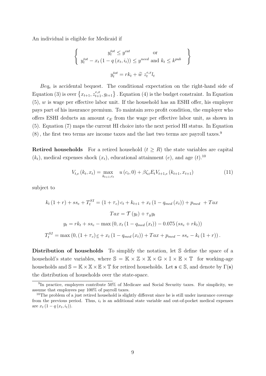An individual is eligible for Medicaid if

$$
\begin{cases}\ny_t^{tot} \leq y^{cat} & \text{or} \\
y_t^{tot} - x_t (1 - q(x_t, i_t)) \leq y^{need} \text{ and } k_t \leq k^{pub} \\
y_t^{tot} = rk_t + \tilde{w} z_t^{e,x} l_t\n\end{cases}
$$

 $Beq_e$  is accidental bequest. The conditional expectation on the right-hand side of Equation (3) is over  $\{x_{t+1}, z_{t+1}^{e,x}, g_{t+1}\}\$ . Equation (4) is the budget constraint. In Equation  $(5)$ , w is wage per effective labor unit. If the household has an ESHI offer, his employer pays part of his insurance premium. To maintain zero profit condition, the employer who offers ESHI deducts an amount  $c_E$  from the wage per effective labor unit, as shown in (5). Equation (7) maps the current HI choice into the next period HI status. In Equation (8), the first two terms are income taxes and the last two terms are payroll taxes.<sup>9</sup>

Retired households For a retired household  $(t \geq R)$  the state variables are capital  $(k<sub>t</sub>)$ , medical expenses shock  $(x<sub>t</sub>)$ , educational attainment  $(e)$ , and age  $(t)$ .<sup>10</sup>

$$
V_{t,e}(k_t, x_t) = \max_{k_{t+1}, c_t} \quad u(c_t, 0) + \beta \zeta_t E_t V_{t+1,e}(k_{t+1}, x_{t+1}) \tag{11}
$$

subject to

$$
k_t (1+r) + ss_e + T_t^{SI} = (1 + \tau_c) c_t + k_{t+1} + x_t (1 - q_{med}(x_t)) + p_{med} + Tax
$$
  

$$
Tax = \mathcal{T}(y_t) + \tau_y y_t
$$
  

$$
y_t = rk_t + ss_e - \max(0, x_t (1 - q_{med}(x_t)) - 0.075 (ss_e + rk_t))
$$
  

$$
T_t^{SI} = \max(0, (1 + \tau_c) \underline{c} + x_t (1 - q_{med}(x_t)) + Tax + p_{med} - ss_e - k_t (1 + r)).
$$

Distribution of households To simplify the notation, let S define the space of a household's state variables, where  $\mathbb{S} = \mathbb{K} \times \mathbb{Z} \times \mathbb{X} \times \mathbb{G} \times \mathbb{I} \times \mathbb{E} \times \mathbb{T}$  for working-age households and  $\mathbb{S} = \mathbb{K} \times \mathbb{X} \times \mathbb{E} \times \mathbb{T}$  for retired households. Let  $s \in \mathbb{S}$ , and denote by  $\Gamma(s)$ the distribution of households over the state-space.

<sup>&</sup>lt;sup>9</sup>In practice, employers contribute 50% of Medicare and Social Security taxes. For simplicity, we assume that employees pay 100% of payroll taxes.

 $10$ The problem of a just retired household is slightly different since he is still under insurance coverage from the previous period. Thus,  $i_t$  is an additional state variable and out-of-pocket medical expenses are  $x_t (1 - q(x_t, i_t)).$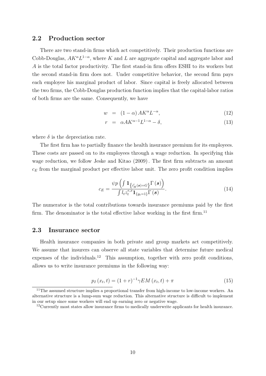## 2.2 Production sector

There are two stand-in firms which act competitively. Their production functions are Cobb-Douglas,  $AK^{\alpha}L^{1-\alpha}$ , where K and L are aggregate capital and aggregate labor and A is the total factor productivity. The first stand-in firm offers ESHI to its workers but the second stand-in firm does not. Under competitive behavior, the second firm pays each employee his marginal product of labor. Since capital is freely allocated between the two firms, the Cobb-Douglas production function implies that the capital-labor ratios of both firms are the same. Consequently, we have

$$
w = (1 - \alpha) A K^{\alpha} L^{-\alpha}, \qquad (12)
$$

$$
r = \alpha A K^{\alpha - 1} L^{1 - \alpha} - \delta,\tag{13}
$$

where  $\delta$  is the depreciation rate.

The first firm has to partially finance the health insurance premium for its employees. These costs are passed on to its employees through a wage reduction. In specifying this wage reduction, we follow Jeske and Kitao (2009). The first firm subtracts an amount  $c_E$  from the marginal product per effective labor unit. The zero profit condition implies

$$
c_E = \frac{\psi p \left( \int \mathbf{1}_{\left\{ i'_H(s) = G \right\}} \Gamma \left( s \right) \right)}{\int l_t z_t^{e,x} \mathbf{1}_{\left\{ g_t = 1 \right\}} \Gamma \left( s \right)}.
$$
\n(14)

The numerator is the total contributions towards insurance premiums paid by the first firm. The denominator is the total effective labor working in the first firm.<sup>11</sup>

#### 2.3 Insurance sector

Health insurance companies in both private and group markets act competitively. We assume that insurers can observe all state variables that determine future medical expenses of the individuals.<sup>12</sup> This assumption, together with zero profit conditions, allows us to write insurance premiums in the following way:

$$
p_I(x_t, t) = (1+r)^{-1} \gamma EM(x_t, t) + \pi
$$
\n(15)

<sup>&</sup>lt;sup>11</sup>The assumed structure implies a proportional transfer from high-income to low-income workers. An alternative structure is a lump-sum wage reduction. This alternative structure is difficult to implement in our setup since some workers will end up earning zero or negative wage.

<sup>&</sup>lt;sup>12</sup>Currently most states allow insurance firms to medically underwrite applicants for health insurance.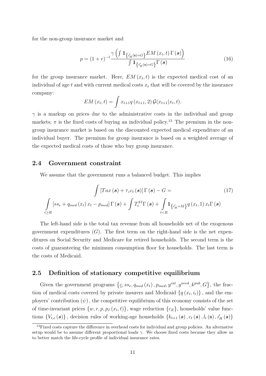for the non-group insurance market and

$$
p = (1+r)^{-1} \frac{\gamma \left( \int \mathbf{1}_{\left\{i'_H(\mathbf{s})=G\right\}} EM\left(x_t, t\right) \Gamma\left(\mathbf{s}\right) \right)}{\int \mathbf{1}_{\left\{i'_H(\mathbf{s})=G\right\}} \Gamma\left(\mathbf{s}\right)} \tag{16}
$$

for the group insurance market. Here,  $EM(x_t, t)$  is the expected medical cost of an individual of age t and with current medical costs  $x_t$  that will be covered by the insurance company:

$$
EM(x_t, t) = \int x_{t+1} q(x_{t+1}, 2) \mathcal{G}(x_{t+1}|x_t, t).
$$

 $\gamma$  is a markup on prices due to the administrative costs in the individual and group markets;  $\pi$  is the fixed costs of buying an individual policy.<sup>13</sup> The premium in the nongroup insurance market is based on the discounted expected medical expenditure of an individual buyer. The premium for group insurance is based on a weighted average of the expected medical costs of those who buy group insurance.

## 2.4 Government constraint

We assume that the government runs a balanced budget. This implies

$$
\int \left[ Tax\left(\mathbf{s}\right) + \tau_{c}c_{t}\left(\mathbf{s}\right) \right] \Gamma\left(\mathbf{s}\right) - G =
$$
\n
$$
\int_{t \geq R} \left[ s s_{e} + q_{med}\left(x_{t}\right) x_{t} - p_{med} \right] \Gamma\left(\mathbf{s}\right) + \int_{t}^{S I} \Gamma\left(\mathbf{s}\right) + \int_{t < R} \mathbf{1}_{\left\{i_{H}^{\prime} = M\right\}} q\left(x_{t}, 1\right) x_{t} \Gamma\left(\mathbf{s}\right)
$$
\n(17)

The left-hand side is the total tax revenue from all households net of the exogenous government expenditures  $(G)$ . The first term on the right-hand side is the net expenditures on Social Security and Medicare for retired households. The second term is the costs of guaranteeing the minimum consumption floor for households. The last term is the costs of Medicaid.

### 2.5 Definition of stationary competitive equilibrium

Given the government programs  $\{c, s s_e, q_{med}(x_t), p_{med}, y^{cat}, y^{need}, k^{pub}, G\}$ , the fraction of medical costs covered by private insurers and Medicaid  $\{q(x_t, i_t)\}\,$ , and the employers' contribution  $(\psi)$ , the competitive equilibrium of this economy consists of the set of time-invariant prices  $\{w, r, p, p_I(x_t, t)\}\$ , wage reduction  $\{c_E\}$ , households' value functions  $\{V_{t,e}(\mathbf{s})\}$ , decision rules of working-age households  $\{k_{t+1}(\mathbf{s}), c_t(\mathbf{s}), l_t(\mathbf{s}), i'_H(\mathbf{s})\}$ 

<sup>&</sup>lt;sup>13</sup>Fixed costs capture the difference in overhead costs for individual and group policies. An alternative setup would be to assume different proportional loads  $\gamma$ . We choose fixed costs because they allow us to better match the life-cycle profile of individual insurance rates.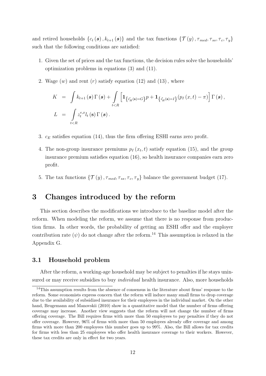and retired households  $\{c_t(s), k_{t+1}(s)\}\$ and the tax functions  $\{\mathcal{T}(y), \tau_{med}, \tau_{ss}, \tau_c, \tau_y\}$ such that the following conditions are satisfied:

- 1. Given the set of prices and the tax functions, the decision rules solve the households' optimization problems in equations (3) and (11).
- 2. Wage  $(w)$  and rent  $(r)$  satisfy equation (12) and (13), where

$$
K = \int k_{t+1}(s) \Gamma(s) + \int_{t  
\n
$$
L = \int_{t
$$
$$

- 3.  $c_E$  satisfies equation (14), thus the firm offering ESHI earns zero profit.
- 4. The non-group insurance premiums  $p_I(x_t, t)$  satisfy equation (15), and the group insurance premium satisfies equation (16), so health insurance companies earn zero profit.
- 5. The tax functions  $\{\mathcal{T}(y), \tau_{med}, \tau_{ss}, \tau_c, \tau_y\}$  balance the government budget (17).

## 3 Changes introduced by the reform

This section describes the modifications we introduce to the baseline model after the reform. When modeling the reform, we assume that there is no response from production firms. In other words, the probability of getting an ESHI offer and the employer contribution rate  $(\psi)$  do not change after the reform.<sup>14</sup> This assumption is relaxed in the Appendix G.

#### 3.1 Household problem

After the reform, a working-age household may be subject to penalties if he stays uninsured or may receive subsidies to buy *individual* health insurance. Also, more households

<sup>&</sup>lt;sup>14</sup>This assumption results from the absence of consensus in the literature about firms' response to the reform. Some economists express concern that the reform will induce many small firms to drop coverage due to the availability of subsidized insurance for their employees in the individual market. On the other hand, Brugemann and Manovskii (2010) show in a quantitative model that the number of firms offering coverage may increase. Another view suggests that the reform will not change the number of firms offering coverage. The Bill requires firms with more than 50 employees to pay penalties if they do not offer coverage. However, 96% of firms with more than 50 employees already offer coverage and among firms with more than 200 employees this number goes up to 99%. Also, the Bill allows for tax credits for firms with less than 25 employees who offer health insurance coverage to their workers. However, these tax credits are only in effect for two years.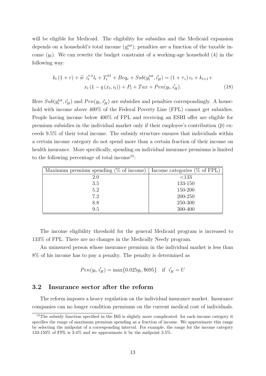will be eligible for Medicaid. The eligibility for subsidies and the Medicaid expansion depends on a household's total income  $(y_t^{tot})$ ; penalties are a function of the taxable income  $(y_t)$ . We can rewrite the budget constraint of a working-age household (4) in the following way:

$$
k_t (1+r) + \widetilde{w} z_t^{e,x} l_t + T_t^{SI} + Beq_e + Sub(y_t^{tot}, i'_H) = (1+\tau_c) c_t + k_{t+1} +
$$
  

$$
x_t (1-q(x_t, i_t)) + P_t + Tax + Pen(y_t, i'_H).
$$
 (18)

Here  $Sub(y_t^{tot}, i'_H)$  and  $Pen(y_t, i'_H)$  are subsidies and penalties correspondingly. A household with income above 400% of the Federal Poverty Line (FPL) cannot get subsidies. People having income below 400% of FPL and receiving an ESHI offer are eligible for premium subsidies in the individual market only if their employee's contribution  $(\bar{p})$  exceeds 9.5% of their total income. The subsidy structure ensures that individuals within a certain income category do not spend more than a certain fraction of their income on health insurance. More specifically, spending on individual insurance premiums is limited to the following percentage of total income<sup>15</sup>:

| Maximum premium spending $(\%$ of income) | Income categories ( $\%$ of FPL) |
|-------------------------------------------|----------------------------------|
| 2.0                                       | $<$ 133                          |
| 3.5                                       | 133-150                          |
| 5.2                                       | 150-200                          |
| 7.2                                       | 200-250                          |
| 8.8                                       | 250-300                          |
| 9.5                                       | 300-400                          |

The income eligibility threshold for the general Medicaid program is increased to 133% of FPL. There are no changes in the Medically Needy program.

An uninsured person whose insurance premium in the individual market is less than 8% of his income has to pay a penalty. The penalty is determined as

$$
Pen(y_t, i'_H) = \max\{0.025y_t, \$695\} \quad \text{if} \quad i'_H = U
$$

#### 3.2 Insurance sector after the reform

The reform imposes a heavy regulation on the individual insurance market. Insurance companies can no longer condition premiums on the current medical cost of individuals.

<sup>&</sup>lt;sup>15</sup>The subsidy function specified in the Bill is slightly more complicated: for each income category it specifies the range of maximum premium spending as a fraction of income. We approximate this range by selecting the midpoint of a corresponding interval. For example, the range for the income category 133-150% of FPL is 3-4% and we approximate it by the midpoint 3.5%.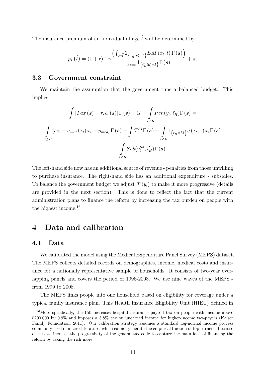The insurance premium of an individual of age  $\hat{t}$  will be determined by

$$
p_I\left(\hat{t}\right) = (1+r)^{-1} \gamma \frac{\left(\int_{\mathbf{t}=\hat{t}} \mathbf{1}_{\left\{i'_H(\mathbf{s})=I\right\}} EM\left(x_t, t\right) \Gamma\left(\mathbf{s}\right)\right)}{\int_{\mathbf{t}=\hat{t}} \mathbf{1}_{\left\{i'_H(\mathbf{s})=I\right\}} \Gamma\left(\mathbf{s}\right)} + \pi.
$$

#### 3.3 Government constraint

We maintain the assumption that the government runs a balanced budget. This implies

$$
\int \left[ Tax\left(\mathbf{s}\right) + \tau_{c}c_{t}\left(\mathbf{s}\right) \right] \Gamma\left(\mathbf{s}\right) - G + \int_{t\n
$$
\int_{t\geq R} \left[ ss_{e} + q_{med}\left(x_{t}\right)x_{t} - p_{med} \right] \Gamma\left(\mathbf{s}\right) + \int_{t\leq R} T_{t}^{SI} \Gamma\left(\mathbf{s}\right) + \int_{t\n
$$
+ \int_{t
$$
$$
$$

The left-hand side now has an additional source of revenue - penalties from those unwilling to purchase insurance. The right-hand side has an additional expenditure - subsidies. To balance the government budget we adjust  $\mathcal{T}(y_t)$  to make it more progressive (details are provided in the next section). This is done to reflect the fact that the current administration plans to finance the reform by increasing the tax burden on people with the highest income.<sup>16</sup>

## 4 Data and calibration

### 4.1 Data

We calibrated the model using the Medical Expenditure Panel Survey (MEPS) dataset. The MEPS collects detailed records on demographics, income, medical costs and insurance for a nationally representative sample of households. It consists of two-year overlapping panels and covers the period of 1996-2008. We use nine waves of the MEPS from 1999 to 2008.

The MEPS links people into one household based on eligibility for coverage under a typical family insurance plan. This Health Insurance Eligibility Unit (HIEU) defined in

<sup>&</sup>lt;sup>16</sup>More specifically, the Bill increases hospital insurance payroll tax on people with income above \$200,000 by 0.9% and imposes a 3.8% tax on unearned income for higher-income tax-payers (Kaiser Family Foundation, 2011). Our calibration strategy assumes a standard log-normal income process commonly used in macro-literature, which cannot generate the empirical fraction of top-earners. Because of this we increase the progressivity of the general tax code to capture the main idea of financing the reform by taxing the rich more.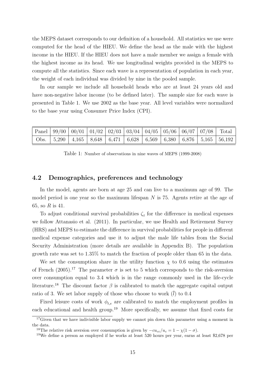the MEPS dataset corresponds to our definition of a household. All statistics we use were computed for the head of the HIEU. We define the head as the male with the highest income in the HIEU. If the HIEU does not have a male member we assign a female with the highest income as its head. We use longitudinal weights provided in the MEPS to compute all the statistics. Since each wave is a representation of population in each year, the weight of each individual was divided by nine in the pooled sample.

In our sample we include all household heads who are at least 24 years old and have non-negative labor income (to be defined later). The sample size for each wave is presented in Table 1. We use 2002 as the base year. All level variables were normalized to the base year using Consumer Price Index (CPI).

|  |  |  |  | Panel   99/00   00/01   01/02   02/03   03/04   04/05   05/06   06/07   07/08   Total |                                                                                       |
|--|--|--|--|---------------------------------------------------------------------------------------|---------------------------------------------------------------------------------------|
|  |  |  |  |                                                                                       | Obs.   5,290   4,165   8,648   6,471   6,628   6,569   6,380   6,876   5,165   56,192 |

Table 1: Number of observations in nine waves of MEPS (1999-2008)

#### 4.2 Demographics, preferences and technology

In the model, agents are born at age 25 and can live to a maximum age of 99. The model period is one year so the maximum lifespan  $N$  is 75. Agents retire at the age of 65, so R is 41.

To adjust conditional survival probabilities  $\zeta_t$  for the difference in medical expenses we follow Attanasio et al. (2011). In particular, we use Health and Retirement Survey (HRS) and MEPS to estimate the difference in survival probabilities for people in different medical expense categories and use it to adjust the male life tables from the Social Security Administration (more details are available in Appendix B). The population growth rate was set to 1.35% to match the fraction of people older than 65 in the data.

We set the consumption share in the utility function  $\chi$  to 0.6 using the estimates of French (2005).<sup>17</sup> The parameter  $\sigma$  is set to 5 which corresponds to the risk-aversion over consumption equal to 3.4 which is in the range commonly used in the life-cycle literature.<sup>18</sup> The discount factor  $\beta$  is calibrated to match the aggregate capital output ratio of 3. We set labor supply of those who choose to work  $(\bar{l})$  to 0.4

Fixed leisure costs of work  $\phi_{t,e}$  are calibrated to match the employment profiles in each educational and health group.<sup>19</sup> More specifically, we assume that fixed costs for

<sup>&</sup>lt;sup>17</sup>Given that we have indivisible labor supply we cannot pin down this parameter using a moment in the data.

<sup>&</sup>lt;sup>18</sup>The relative risk aversion over consumption is given by  $-cu_{cc}/u_c = 1 - \chi(1 - \sigma)$ .

<sup>&</sup>lt;sup>19</sup>We define a person as employed if he works at least 520 hours per year, earns at least \$2,678 per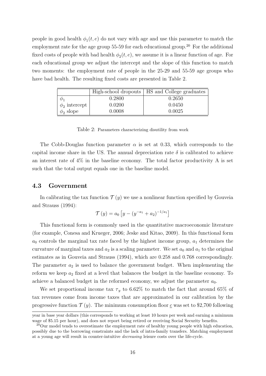people in good health  $\phi_1(t, e)$  do not vary with age and use this parameter to match the employment rate for the age group  $55-59$  for each educational group.<sup>20</sup> For the additional fixed costs of people with bad health  $\phi_2(t, e)$ , we assume it is a linear function of age. For each educational group we adjust the intercept and the slope of this function to match two moments: the employment rate of people in the 25-29 and 55-59 age groups who have bad health. The resulting fixed costs are presented in Table 2.

|                    |        | High-school dropouts   HS and College graduates |
|--------------------|--------|-------------------------------------------------|
| Ф1                 | 0.2800 | 0.2650                                          |
| $\phi_2$ intercept | 0.0200 | 0.0450                                          |
| $\phi_2$ slope     | 0.0008 | 0.0025                                          |

Table 2: Parameters characterizing disutility from work

The Cobb-Douglas function parameter  $\alpha$  is set at 0.33, which corresponds to the capital income share in the US. The annual depreciation rate  $\delta$  is calibrated to achieve an interest rate of 4% in the baseline economy. The total factor productivity A is set such that the total output equals one in the baseline model.

#### 4.3 Government

In calibrating the tax function  $\mathcal{T}(y)$  we use a nonlinear function specified by Gouveia and Strauss (1994):

$$
\mathcal{T}(y) = a_0 \left[ y - (y^{-a_1} + a_2)^{-1/a_1} \right]
$$

This functional form is commonly used in the quantitative macroeconomic literature (for example, Conesa and Krueger, 2006; Jeske and Kitao, 2009). In this functional form  $a_0$  controls the marginal tax rate faced by the highest income group,  $a_1$  determines the curvature of marginal taxes and  $a_2$  is a scaling parameter. We set  $a_0$  and  $a_1$  to the original estimates as in Gouveia and Strauss (1994), which are 0.258 and 0.768 correspondingly. The parameter  $a_2$  is used to balance the government budget. When implementing the reform we keep  $a_2$  fixed at a level that balances the budget in the baseline economy. To achieve a balanced budget in the reformed economy, we adjust the parameter  $a_0$ .

We set proportional income tax  $\tau_y$  to 6.62% to match the fact that around 65% of tax revenues come from income taxes that are approximated in our calibration by the progressive function  $\mathcal{T}(y)$ . The minimum consumption floor c was set to \$2,700 following

year in base year dollars (this corresponds to working at least 10 hours per week and earning a minimum wage of \$5.15 per hour), and does not report being retired or receiving Social Security benefits.

 $20$ Our model tends to overestimate the employment rate of healthy young people with high education, possibly due to the borrowing constraints and the lack of intra-family transfers. Matching employment at a young age will result in counter-intuitive decreasing leisure costs over the life-cycle.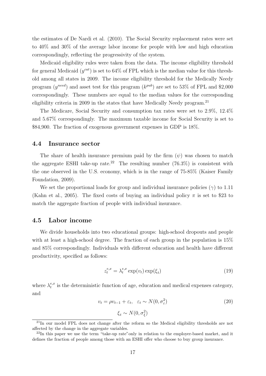the estimates of De Nardi et al. (2010). The Social Security replacement rates were set to 40% and 30% of the average labor income for people with low and high education correspondingly, reflecting the progressivity of the system.

Medicaid eligibility rules were taken from the data. The income eligibility threshold for general Medicaid  $(y^{cat})$  is set to 64% of FPL which is the median value for this threshold among all states in 2009. The income eligibility threshold for the Medically Needy program  $(y^{need})$  and asset test for this program  $(k^{pub})$  are set to 53% of FPL and \$2,000 correspondingly. These numbers are equal to the median values for the corresponding eligibility criteria in 2009 in the states that have Medically Needy program.<sup>21</sup>

The Medicare, Social Security and consumption tax rates were set to 2.9%, 12.4% and 5.67% correspondingly. The maximum taxable income for Social Security is set to \$84,900. The fraction of exogenous government expenses in GDP is 18%.

#### 4.4 Insurance sector

The share of health insurance premium paid by the firm  $(\psi)$  was chosen to match the aggregate ESHI take-up rate.<sup>22</sup> The resulting number  $(76.3\%)$  is consistent with the one observed in the U.S. economy, which is in the range of 75-85% (Kaiser Family Foundation, 2009).

We set the proportional loads for group and individual insurance policies  $(\gamma)$  to 1.11 (Kahn et al., 2005). The fixed costs of buying an individual policy  $\pi$  is set to \$23 to match the aggregate fraction of people with individual insurance.

#### 4.5 Labor income

We divide households into two educational groups: high-school dropouts and people with at least a high-school degree. The fraction of each group in the population is 15% and 85% correspondingly. Individuals with different education and health have different productivity, specified as follows:

$$
z_t^{e,x} = \lambda_t^{e,x} \exp(v_t) \exp(\xi_t)
$$
\n(19)

where  $\lambda_t^{e,x}$  $t_t^{e,x}$  is the deterministic function of age, education and medical expenses category, and

$$
v_t = \rho v_{t-1} + \varepsilon_t, \quad \varepsilon_t \sim N(0, \sigma_\varepsilon^2)
$$
\n
$$
(20)
$$

$$
\xi_t \sim N(0, \sigma_{\xi}^2)
$$

<sup>&</sup>lt;sup>21</sup>In our model FPL does not change after the reform so the Medical eligibility thresholds are not affected by the change in the aggregate variables.

<sup>&</sup>lt;sup>22</sup>In this paper we use the term "take-up rate" only in relation to the employer-based market, and it defines the fraction of people among those with an ESHI offer who choose to buy group insurance.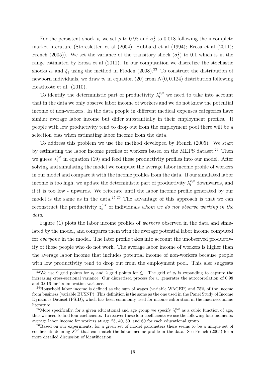For the persistent shock  $v_t$  we set  $\rho$  to 0.98 and  $\sigma_\varepsilon^2$  to 0.018 following the incomplete market literature (Storesletten et al (2004); Hubbard et al (1994); Erosa et al (2011); French (2005)). We set the variance of the transitory shock  $(\sigma_{\xi}^2)$  to 0.1 which is in the range estimated by Erosa et al (2011). In our computation we discretize the stochastic shocks  $v_t$  and  $\xi_t$  using the method in Floden (2008).<sup>23</sup> To construct the distribution of newborn individuals, we draw  $v_1$  in equation (20) from  $N(0, 0.124)$  distribution following Heathcote et al. (2010).

To identify the deterministic part of productivity  $\lambda_t^{e,x}$  we need to take into account that in the data we only observe labor income of workers and we do not know the potential income of non-workers. In the data people in different medical expenses categories have similar average labor income but differ substantially in their employment profiles. If people with low productivity tend to drop out from the employment pool there will be a selection bias when estimating labor income from the data.

To address this problem we use the method developed by French (2005). We start by estimating the labor income profiles of workers based on the MEPS dataset.<sup>24</sup> Then we guess  $\lambda_t^{e,x}$  $t_t^{e,x}$  in equation (19) and feed these productivity profiles into our model. After solving and simulating the model we compute the average labor income profile of workers in our model and compare it with the income profiles from the data. If our simulated labor income is too high, we update the deterministic part of productivity  $\lambda_t^{e,x}$  downwards, and if it is too low - upwards. We reiterate until the labor income profile generated by our model is the same as in the data.<sup>25</sup>,<sup>26</sup> The advantage of this approach is that we can reconstruct the productivity  $z_t^{e,x}$  of individuals whom we do not observe working in the data.

Figure (1) plots the labor income profiles of *workers* observed in the data and simulated by the model, and compares them with the average potential labor income computed for *everyone* in the model. The later profile takes into account the unobserved productivity of those people who do not work. The average labor income of workers is higher than the average labor income that includes potential income of non-workers because people with low productivity tend to drop out from the employment pool. This also suggests

<sup>&</sup>lt;sup>23</sup>We use 9 grid points for  $v_t$  and 2 grid points for  $\xi_t$ . The grid of  $v_t$  is expanding to capture the increasing cross-sectional variance. Our discretized process for  $v_t$  generates the autocorrelation of 0.98 and 0.016 for its innovation variance.

<sup>24</sup>Household labor income is defined as the sum of wages (variable WAGEP) and 75% of the income from business (variable BUSNP). This definition is the same as the one used in the Panel Study of Income Dynamics Dataset (PSID), which has been commonly used for income calibration in the macroeconomic literature.

<sup>&</sup>lt;sup>25</sup>More specifically, for a given educational and age group we specify  $\lambda_t^{e,x}$  as a cubic function of age, thus we need to find four coefficients. To recover these four coefficients we use the following four moments: average labor income for workers at age 25, 40, 50, and 60 for each educational group.

<sup>&</sup>lt;sup>26</sup>Based on our experiments, for a given set of model parameters there seems to be a unique set of coefficients defining  $\lambda_t^{e,x}$  that can match the labor income profile in the data. See French (2005) for a more detailed discussion of identification.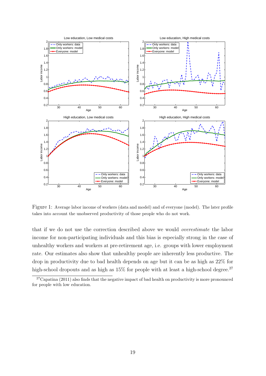

Figure 1: Average labor income of workers (data and model) and of everyone (model). The later profile takes into account the unobserved productivity of those people who do not work.

that if we do not use the correction described above we would overestimate the labor income for non-participating individuals and this bias is especially strong in the case of unhealthy workers and workers at pre-retirement age, i.e. groups with lower employment rate. Our estimates also show that unhealthy people are inherently less productive. The drop in productivity due to bad health depends on age but it can be as high as 22% for high-school dropouts and as high as  $15\%$  for people with at least a high-school degree.<sup>27</sup>

 $27$ Capatina (2011) also finds that the negative impact of bad health on productivity is more pronounced for people with low education.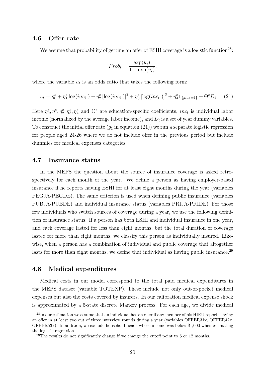## 4.6 Offer rate

We assume that probability of getting an offer of ESHI coverage is a logistic function<sup>28</sup>:

$$
Prob_t = \frac{\exp(u_t)}{1 + \exp(u_t)},
$$

where the variable  $u_t$  is an odds ratio that takes the following form:

$$
u_t = \eta_0^e + \eta_1^e \log(inc_t) + \eta_2^e [\log(inc_t)]^2 + \eta_3^e [\log(inc_t)]^3 + \eta_4^e \mathbf{1}_{\{g_{t-1} = 1\}} + \Theta^e D_t \tag{21}
$$

Here  $\eta_0^e, \eta_1^e, \eta_2^e, \eta_3^e, \eta_4^e$  and  $\Theta^e$  are education-specific coefficients, *inc<sub>t</sub>* is individual labor income (normalized by the average labor income), and  $D_t$  is a set of year dummy variables. To construct the initial offer rate  $(g_1$  in equation  $(21)$ ) we run a separate logistic regression for people aged 24-26 where we do not include offer in the previous period but include dummies for medical expenses categories.

#### 4.7 Insurance status

In the MEPS the question about the source of insurance coverage is asked retrospectively for each month of the year. We define a person as having employer-based insurance if he reports having ESHI for at least eight months during the year (variables PEGJA-PEGDE). The same criterion is used when defining public insurance (variables PUBJA-PUBDE) and individual insurance status (variables PRIJA-PRIDE). For those few individuals who switch sources of coverage during a year, we use the following definition of insurance status. If a person has both ESHI and individual insurance in one year, and each coverage lasted for less than eight months, but the total duration of coverage lasted for more than eight months, we classify this person as individually insured. Likewise, when a person has a combination of individual and public coverage that altogether lasts for more than eight months, we define that individual as having public insurance.<sup>29</sup>

### 4.8 Medical expenditures

Medical costs in our model correspond to the total paid medical expenditures in the MEPS dataset (variable TOTEXP). These include not only out-of-pocket medical expenses but also the costs covered by insurers. In our calibration medical expense shock is approximated by a 5-state discrete Markov process. For each age, we divide medical

<sup>&</sup>lt;sup>28</sup>In our estimation we assume that an individual has an offer if any member of his HIEU reports having an offer in at least two out of three interview rounds during a year (variables OFFER31x, OFFER42x, OFFER53x). In addition, we exclude household heads whose income was below \$1,000 when estimating the logistic regression.

<sup>&</sup>lt;sup>29</sup>The results do not significantly change if we change the cutoff point to 6 or 12 months.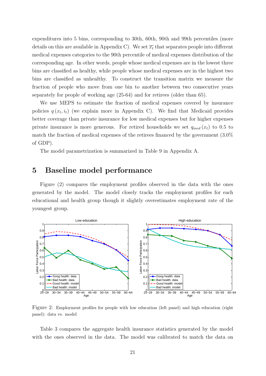expenditures into 5 bins, corresponding to 30th, 60th, 90th and 99th percentiles (more details on this are available in Appendix C). We set  $\overline{x_t}$  that separates people into different medical expenses categories to the 90th percentile of medical expenses distribution of the corresponding age. In other words, people whose medical expenses are in the lowest three bins are classified as healthy, while people whose medical expenses are in the highest two bins are classified as unhealthy. To construct the transition matrix we measure the fraction of people who move from one bin to another between two consecutive years separately for people of working age (25-64) and for retirees (older than 65).

We use MEPS to estimate the fraction of medical expenses covered by insurance policies  $q(x_t, i_t)$  (we explain more in Appendix C). We find that Medicaid provides better coverage than private insurance for low medical expenses but for higher expenses private insurance is more generous. For retired households we set  $q_{med}(x_t)$  to 0.5 to match the fraction of medical expenses of the retirees financed by the government (3.0% of GDP).

The model parametrization is summarized in Table 9 in Appendix A.

## 5 Baseline model performance

Figure (2) compares the employment profiles observed in the data with the ones generated by the model. The model closely tracks the employment profiles for each educational and health group though it slightly overestimates employment rate of the youngest group.



Figure 2: Employment profiles for people with low education (left panel) and high education (right panel): data vs. model

Table 3 compares the aggregate health insurance statistics generated by the model with the ones observed in the data. The model was calibrated to match the data on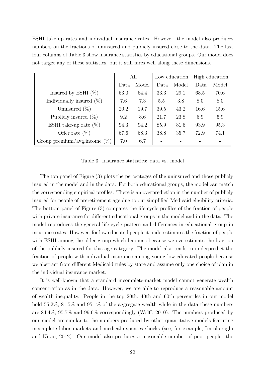ESHI take-up rates and individual insurance rates. However, the model also produces numbers on the fractions of uninsured and publicly insured close to the data. The last four columns of Table 3 show insurance statistics by educational groups. Our model does not target any of these statistics, but it still fares well along these dimensions.

|                                 | All  |       | Low education |       | High education |       |
|---------------------------------|------|-------|---------------|-------|----------------|-------|
|                                 | Data | Model | Data          | Model | Data           | Model |
| Insured by ESHI $(\%)$          | 63.0 | 64.4  | 33.3          | 29.1  | 68.5           | 70.6  |
| Individually insured $(\%)$     | 7.6  | 7.3   | 5.5           | 3.8   | 8.0            | 8.0   |
| Uninsured $(\%)$                | 20.2 | 19.7  | 39.5          | 43.2  | 16.6           | 15.6  |
| Publicly insured $(\%)$         | 9.2  | 8.6   | 21.7          | 23.8  | 6.9            | 5.9   |
| ESHI take-up rate $(\%)$        | 94.3 | 94.2  | 85.9          | 81.6  | 93.9           | 95.3  |
| Offer rate $(\%)$               | 67.6 | 68.3  | 38.8          | 35.7  | 72.9           | 74.1  |
| Group premium/avg.income $(\%)$ | 7.0  | 6.7   |               |       |                |       |

Table 3: Insurance statistics: data vs. model

The top panel of Figure (3) plots the percentages of the uninsured and those publicly insured in the model and in the data. For both educational groups, the model can match the corresponding empirical profiles. There is an overprediction in the number of publicly insured for people of preretirement age due to our simplified Medicaid eligibility criteria. The bottom panel of Figure (3) compares the life-cycle profiles of the fraction of people with private insurance for different educational groups in the model and in the data. The model reproduces the general life-cycle pattern and differences in educational group in insurance rates. However, for low educated people it underestimates the fraction of people with ESHI among the older group which happens because we overestimate the fraction of the publicly insured for this age category. The model also tends to underpredict the fraction of people with individual insurance among young low-educated people because we abstract from different Medicaid rules by state and assume only one choice of plan in the individual insurance market.

It is well-known that a standard incomplete-market model cannot generate wealth concentration as in the data. However, we are able to reproduce a reasonable amount of wealth inequality. People in the top 20th, 40th and 60th percentiles in our model hold 55.2%, 81.5% and 95.1% of the aggregate wealth while in the data these numbers are 84.4%, 95.7% and 99.6% correspondingly (Wolff, 2010). The numbers produced by our model are similar to the numbers produced by other quantitative models featuring incomplete labor markets and medical expenses shocks (see, for example, Imrohoroglu and Kitao, 2012). Our model also produces a reasonable number of poor people: the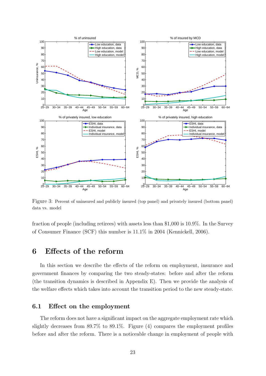

Figure 3: Percent of uninsured and publicly insured (top panel) and privately insured (bottom panel) data vs. model

fraction of people (including retirees) with assets less than \$1,000 is 10.9%. In the Survey of Consumer Finance (SCF) this number is 11.1% in 2004 (Kennickell, 2006).

## 6 Effects of the reform

In this section we describe the effects of the reform on employment, insurance and government finances by comparing the two steady-states: before and after the reform (the transition dynamics is described in Appendix E). Then we provide the analysis of the welfare effects which takes into account the transition period to the new steady-state.

#### 6.1 Effect on the employment

The reform does not have a significant impact on the aggregate employment rate which slightly decreases from  $89.7\%$  to  $89.1\%$ . Figure (4) compares the employment profiles before and after the reform. There is a noticeable change in employment of people with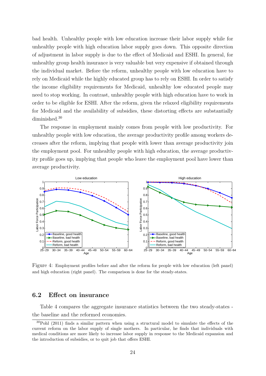bad health. Unhealthy people with low education increase their labor supply while for unhealthy people with high education labor supply goes down. This opposite direction of adjustment in labor supply is due to the effect of Medicaid and ESHI. In general, for unhealthy group health insurance is very valuable but very expensive if obtained through the individual market. Before the reform, unhealthy people with low education have to rely on Medicaid while the highly educated group has to rely on ESHI. In order to satisfy the income eligibility requirements for Medicaid, unhealthy low educated people may need to stop working. In contrast, unhealthy people with high education have to work in order to be eligible for ESHI. After the reform, given the relaxed eligibility requirements for Medicaid and the availability of subsidies, these distorting effects are substantially diminished.<sup>30</sup>

The response in employment mainly comes from people with low productivity. For unhealthy people with low education, the average productivity profile among workers decreases after the reform, implying that people with lower than average productivity join the employment pool. For unhealthy people with high education, the average productivity profile goes up, implying that people who leave the employment pool have lower than average productivity.



Figure 4: Employment profiles before and after the reform for people with low education (left panel) and high education (right panel). The comparison is done for the steady-states.

### 6.2 Effect on insurance

Table 4 compares the aggregate insurance statistics between the two steady-states the baseline and the reformed economies.

<sup>30</sup>Pohl (2011) finds a similar pattern when using a structural model to simulate the effects of the current reform on the labor supply of single mothers. In particular, he finds that individuals with medical conditions are more likely to increase labor supply in response to the Medicaid expansion and the introduction of subsidies, or to quit job that offers ESHI.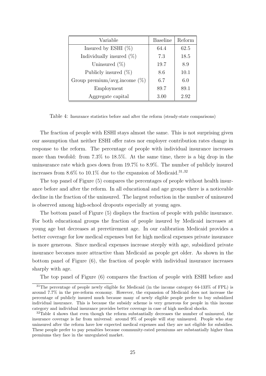| Variable                        | <b>Baseline</b> | Reform |
|---------------------------------|-----------------|--------|
| Insured by ESHI $(\%)$          | 64.4            | 62.5   |
| Individually insured $(\%)$     | 7.3             | 18.5   |
| Uninsured $(\%)$                | 19.7            | 8.9    |
| Publicly insured $(\%)$         | 8.6             | 10.1   |
| Group premium/avg.income $(\%)$ | 6.7             | 6.0    |
| Employment                      | 89.7            | 89.1   |
| Aggregate capital               | 3.00            | 2.92   |

Table 4: Insurance statistics before and after the reform (steady-state comparisons)

The fraction of people with ESHI stays almost the same. This is not surprising given our assumption that neither ESHI offer rates nor employer contribution rates change in response to the reform. The percentage of people with individual insurance increases more than twofold: from 7.3% to 18.5%. At the same time, there is a big drop in the uninsurance rate which goes down from 19.7% to 8.9%. The number of publicly insured increases from 8.6% to 10.1% due to the expansion of Medicaid.<sup>31,32</sup>

The top panel of Figure (5) compares the percentages of people without health insurance before and after the reform. In all educational and age groups there is a noticeable decline in the fraction of the uninsured. The largest reduction in the number of uninsured is observed among high-school dropouts especially at young ages.

The bottom panel of Figure (5) displays the fraction of people with public insurance. For both educational groups the fraction of people insured by Medicaid increases at young age but decreases at preretirement age. In our calibration Medicaid provides a better coverage for low medical expenses but for high medical expenses private insurance is more generous. Since medical expenses increase steeply with age, subsidized private insurance becomes more attractive than Medicaid as people get older. As shown in the bottom panel of Figure (6), the fraction of people with individual insurance increases sharply with age.

The top panel of Figure (6) compares the fraction of people with ESHI before and

<sup>&</sup>lt;sup>31</sup>The percentage of people newly eligible for Medicaid (in the income category 64-133% of FPL) is around 7.7% in the pre-reform economy. However, the expansion of Medicaid does not increase the percentage of publicly insured much because many of newly eligible people prefer to buy subsidized individual insurance. This is because the subsidy scheme is very generous for people in this income category and individual insurance provides better coverage in case of high medical shocks.

 $32$ Table 4 shows that even though the reform substantially decreases the number of uninsured, the insurance coverage is far from universal: around 9% of people will stay uninsured. People who stay uninsured after the reform have low expected medical expenses and they are not eligible for subsidies. These people prefer to pay penalties because community-rated premiums are substantially higher than premiums they face in the unregulated market.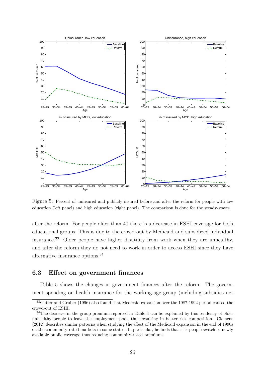

Figure 5: Percent of uninsured and publicly insured before and after the reform for people with low education (left panel) and high education (right panel). The comparison is done for the steady-states.

after the reform. For people older than 40 there is a decrease in ESHI coverage for both educational groups. This is due to the crowd-out by Medicaid and subsidized individual insurance.<sup>33</sup> Older people have higher disutility from work when they are unhealthy, and after the reform they do not need to work in order to access ESHI since they have alternative insurance options.<sup>34</sup>

## 6.3 Effect on government finances

Table 5 shows the changes in government finances after the reform. The government spending on health insurance for the working-age group (including subsidies net

<sup>33</sup>Cutler and Gruber (1996) also found that Medicaid expansion over the 1987-1992 period caused the crowd-out of ESHI.

<sup>&</sup>lt;sup>34</sup>The decrease in the group premium reported in Table 4 can be explained by this tendency of older unhealthy people to leave the employment pool, thus resulting in better risk composition. Clemens (2012) describes similar patterns when studying the effect of the Medicaid expansion in the end of 1990s on the community-rated markets in some states. In particular, he finds that sick people switch to newly available public coverage thus reducing community-rated premiums.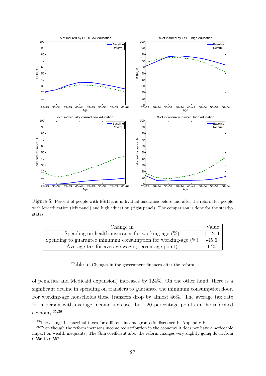

Figure 6: Percent of people with ESHI and individual insurance before and after the reform for people with low education (left panel) and high education (right panel). The comparison is done for the steadystates.

| Change in                                                        | Value    |
|------------------------------------------------------------------|----------|
| Spending on health insurance for working-age $(\%)$              | $+124.1$ |
| Spending to guarantee minimum consumption for working-age $(\%)$ | $-45.6$  |
| Average tax for average wage (percentage point)                  | 1.20     |

Table 5: Changes in the government finances after the reform

of penalties and Medicaid expansion) increases by 124%. On the other hand, there is a significant decline in spending on transfers to guarantee the minimum consumption floor. For working-age households these transfers drop by almost 46%. The average tax rate for a person with average income increases by 1.20 percentage points in the reformed economy.<sup>35</sup>,<sup>36</sup>

<sup>35</sup>The change in marginal taxes for different income groups is discussed in Appendix H.

<sup>36</sup>Even though the reform increases income redistribution in the economy it does not have a noticeable impact on wealth inequality. The Gini coefficient after the reform changes very slightly going down from 0.556 to 0.552.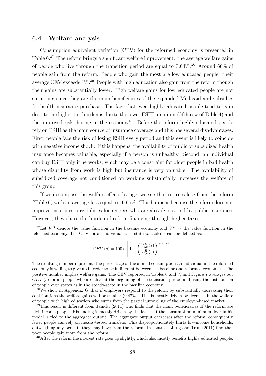#### 6.4 Welfare analysis

Consumption equivalent variation (CEV) for the reformed economy is presented in Table  $6^{37}$ . The reform brings a significant welfare improvement: the average welfare gains of people who live through the transition period are equal to  $0.64\%$ .<sup>38</sup> Around 66% of people gain from the reform. People who gain the most are low educated people: their average CEV exceeds 1%.<sup>39</sup> People with high education also gain from the reform though their gains are substantially lower. High welfare gains for low educated people are not surprising since they are the main beneficiaries of the expanded Medicaid and subsidies for health insurance purchase. The fact that even highly educated people tend to gain despite the higher tax burden is due to the lower ESHI premium (fifth row of Table 4) and the improved risk-sharing in the economy<sup>40</sup>. Before the reform highly-educated people rely on ESHI as the main source of insurance coverage and this has several disadvantages. First, people face the risk of losing ESHI every period and this event is likely to coincide with negative income shock. If this happens, the availability of public or subsidized health insurance becomes valuable, especially if a person is unhealthy. Second, an individual can buy ESHI only if he works, which may be a constraint for older people in bad health whose disutility from work is high but insurance is very valuable. The availability of subsidized coverage not conditioned on working substantially increases the welfare of this group.

If we decompose the welfare effects by age, we see that retirees lose from the reform (Table 6) with an average loss equal to - 0.65%. This happens because the reform does not improve insurance possibilities for retirees who are already covered by public insurance. However, they share the burden of reform financing through higher taxes.

$$
CEV\left(s\right)=100*\left[1-\left(\frac{V_{t,e}^{B}\left(s\right)}{V_{t,e}^{R}\left(s\right)}\right)^{\frac{1}{\chi\left(1-\sigma\right)}}\right]
$$

The resulting number represents the percentage of the annual consumption an individual in the reformed economy is willing to give up in order to be indifferent between the baseline and reformed economies. The positive number implies welfare gains. The CEV reported in Tables 6 and 7, and Figure 7 averages out  $CEV(s)$  for all people who are alive at the beginning of the transition period and using the distribution of people over states as in the steady-state in the baseline economy.

<sup>38</sup>We show in Appendix G that if employers respond to the reform by substantially decreasing their contributions the welfare gains will be smaller  $(0.47\%)$ . This is mostly driven by decrease in the welfare of people with high education who suffer from the partial unraveling of the employer-based market.

<sup>39</sup>This result is different from Janicki (2011) who finds that the main beneficiaries of the reform are high-income people. His finding is mostly driven by the fact that the consumption minimum floor in his model is tied to the aggregate output. The aggregate output decreases after the reform, consequently fewer people can rely on means-tested transfers. This disproportionately hurts low-income households, outweighing any benefits they may have from the reform. In contrast, Jung and Trun (2011) find that poor people gain more from the reform.

<sup>40</sup>After the reform the interest rate goes up slightly, which also mostly benefits highly educated people.

<sup>&</sup>lt;sup>37</sup>Let  $V^B$  denote the value function in the baseline economy and  $V^R$  - the value function in the reformed economy. The CEV for an individual with state variables s can be defined as: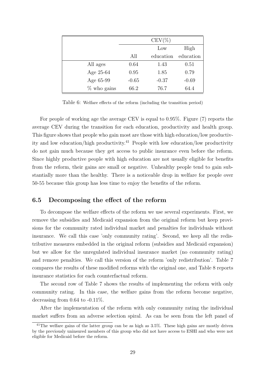|                |         | $CEV(\%)$ |           |
|----------------|---------|-----------|-----------|
|                |         | Low       | High      |
|                | All     | education | education |
| All ages       | 0.64    | 1.43      | 0.51      |
| Age 25-64      | 0.95    | 1.85      | 0.79      |
| Age 65-99      | $-0.65$ | $-0.37$   | $-0.69$   |
| $\%$ who gains | 66.2    | 76.7      | 64.4      |

Table 6: Welfare effects of the reform (including the transition period)

For people of working age the average CEV is equal to 0.95%. Figure (7) reports the average CEV during the transition for each education, productivity and health group. This figure shows that people who gain most are those with high education/low productivity and low education/high productivity.<sup>41</sup> People with low education/low productivity do not gain much because they get access to public insurance even before the reform. Since highly productive people with high education are not usually eligible for benefits from the reform, their gains are small or negative. Unhealthy people tend to gain substantially more than the healthy. There is a noticeable drop in welfare for people over 50-55 because this group has less time to enjoy the benefits of the reform.

### 6.5 Decomposing the effect of the reform

To decompose the welfare effects of the reform we use several experiments. First, we remove the subsidies and Medicaid expansion from the original reform but keep provisions for the community rated individual market and penalties for individuals without insurance. We call this case 'only community rating'. Second, we keep all the redistributive measures embedded in the original reform (subsidies and Medicaid expansion) but we allow for the unregulated individual insurance market (no community rating) and remove penalties. We call this version of the reform 'only redistribution'. Table 7 compares the results of these modified reforms with the original one, and Table 8 reports insurance statistics for each counterfactual reform.

The second row of Table 7 shows the results of implementing the reform with only community rating. In this case, the welfare gains from the reform become negative, decreasing from 0.64 to -0.11%.

After the implementation of the reform with only community rating the individual market suffers from an adverse selection spiral. As can be seen from the left panel of

<sup>&</sup>lt;sup>41</sup>The welfare gains of the latter group can be as high as 3.5%. These high gains are mostly driven by the previously uninsured members of this group who did not have access to ESHI and who were not eligible for Medicaid before the reform.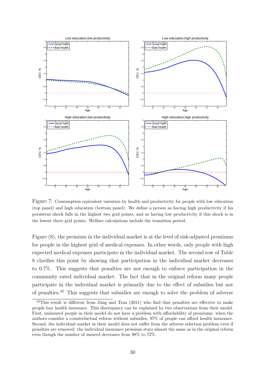

Figure 7: Consumption equivalent variation by health and productivity for people with low education (top panel) and high education (bottom panel). We define a person as having high productivity if his persistent shock falls in the highest two grid points, and as having low productivity if this shock is in the lowest three grid points. Welfare calculations include the transition period.

Figure (8), the premium in the individual market is at the level of risk-adjusted premiums for people in the highest grid of medical expenses. In other words, only people with high expected medical expenses participate in the individual market. The second row of Table 8 clarifies this point by showing that participation in the individual market decreases to 0.7%. This suggests that penalties are not enough to enforce participation in the community rated individual market. The fact that in the original reform many people participate in the individual market is primarily due to the effect of subsidies but not of penalties.<sup>42</sup> This suggests that subsidies are enough to solve the problem of adverse

<sup>&</sup>lt;sup>42</sup>This result is different from Jung and Tran (2011) who find that penalties are effective to make people buy health insurance. This discrepancy can be explained by two observations from their model. First, uninsured people in their model do not have a problem with affordability of premiums: when the authors consider a counterfactual reform without subsidies, 97% of people can afford health insurance. Second, the individual market in their model does not suffer from the adverse selection problem even if penalties are removed: the individual insurance premium stays almost the same as in the original reform even though the number of insured decreases from 98% to 72%.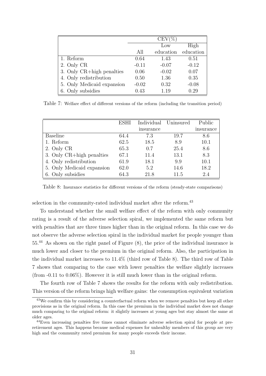|                            |         | $CEV(\%)$ |           |
|----------------------------|---------|-----------|-----------|
|                            |         | Low       | High      |
|                            | All     | education | education |
| 1. Reform                  | 0.64    | 1.43      | 0.51      |
| 2. Only CR                 | $-0.11$ | $-0.07$   | $-0.12$   |
| 3. Only CR+high penalties  | 0.06    | $-0.02$   | 0.07      |
| 4. Only redistribution     | 0.50    | 1.36      | 0.35      |
| 5. Only Medicaid expansion | $-0.02$ | 0.32      | $-0.08$   |
| 6. Only subsidies          | 0.43    | 1.19      | 0.29      |

Table 7: Welfare effect of different versions of the reform (including the transition period)

|                            | ESHI |           | Individual Uninsured | Public    |
|----------------------------|------|-----------|----------------------|-----------|
|                            |      | insurance |                      | insurance |
| <b>Baseline</b>            | 64.4 | 7.3       | 19.7                 | 8.6       |
| 1. Reform                  | 62.5 | 18.5      | 8.9                  | 10.1      |
| 2. Only CR                 | 65.3 | 0.7       | 25.4                 | 8.6       |
| 3. Only CR+high penalties  | 67.1 | 11.4      | 13.1                 | 8.3       |
| 4. Only redistribution     | 61.9 | 18.1      | 9.9                  | 10.1      |
| 5. Only Medicaid expansion | 62.0 | 5.2       | 14.6                 | 18.2      |
| 6. Only subsidies          | 64.3 | 21.8      | 11.5                 | 2.4       |

Table 8: Insurance statistics for different versions of the reform (steady-state comparisons)

selection in the community-rated individual market after the reform.<sup>43</sup>

To understand whether the small welfare effect of the reform with only community rating is a result of the adverse selection spiral, we implemented the same reform but with penalties that are three times higher than in the original reform. In this case we do not observe the adverse selection spiral in the individual market for people younger than 55.<sup>44</sup> As shown on the right panel of Figure (8), the price of the individual insurance is much lower and closer to the premium in the original reform. Also, the participation in the individual market increases to 11.4% (third row of Table 8). The third row of Table 7 shows that comparing to the case with lower penalties the welfare slightly increases (from -0.11 to 0.06%). However it is still much lower than in the original reform.

The fourth row of Table 7 shows the results for the reform with only redistribution. This version of the reform brings high welfare gains: the consumption equivalent variation

<sup>43</sup>We confirm this by considering a counterfactual reform when we remove penalties but keep all other provisions as in the original reform. In this case the premium in the individual market does not change much comparing to the original reform: it slightly increases at young ages but stay almost the same at older ages.

<sup>44</sup>Even increasing penalties five times cannot eliminate adverse selection spiral for people at preretirement ages. This happens because medical expenses for unhealthy members of this group are very high and the community rated premium for many people exceeds their income.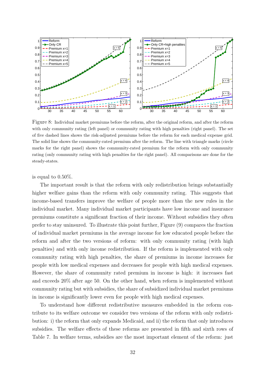

Figure 8: Individual market premiums before the reform, after the original reform, and after the reform with only community rating (left panel) or community rating with high penalties (right panel). The set of five dashed lines shows the risk-adjusted premiums before the reform for each medical expense grid. The solid line shows the community-rated premium after the reform. The line with triangle marks (circle marks for the right panel) shows the community-rated premium for the reform with only community rating (only community rating with high penalties for the right panel). All comparisons are done for the steady-states.

is equal to 0.50%.

The important result is that the reform with only redistribution brings substantially higher welfare gains than the reform with only community rating. This suggests that income-based transfers improve the welfare of people more than the new rules in the individual market. Many individual market participants have low income and insurance premiums constitute a significant fraction of their income. Without subsidies they often prefer to stay uninsured. To illustrate this point further, Figure (9) compares the fraction of individual market premiums in the average income for low educated people before the reform and after the two versions of reform: with only community rating (with high penalties) and with only income redistribution. If the reform is implemented with only community rating with high penalties, the share of premiums in income increases for people with low medical expenses and decreases for people with high medical expenses. However, the share of community rated premium in income is high: it increases fast and exceeds 20% after age 50. On the other hand, when reform is implemented without community rating but with subsidies, the share of subsidized individual market premiums in income is significantly lower even for people with high medical expenses.

To understand how different redistributive measures embedded in the reform contribute to its welfare outcome we consider two versions of the reform with only redistribution: i) the reform that only expands Medicaid, and ii) the reform that only introduces subsidies. The welfare effects of these reforms are presented in fifth and sixth rows of Table 7. In welfare terms, subsidies are the most important element of the reform: just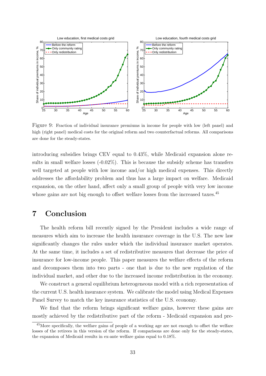

Figure 9: Fraction of individual insurance premiums in income for people with low (left panel) and high (right panel) medical costs for the original reform and two counterfactual reforms. All comparisons are done for the steady-states.

introducing subsidies brings CEV equal to 0.43%, while Medicaid expansion alone results in small welfare losses  $(-0.02\%)$ . This is because the subsidy scheme has transfers well targeted at people with low income and/or high medical expenses. This directly addresses the affordability problem and thus has a large impact on welfare. Medicaid expansion, on the other hand, affect only a small group of people with very low income whose gains are not big enough to offset welfare losses from the increased taxes.<sup>45</sup>

# 7 Conclusion

The health reform bill recently signed by the President includes a wide range of measures which aim to increase the health insurance coverage in the U.S. The new law significantly changes the rules under which the individual insurance market operates. At the same time, it includes a set of redistributive measures that decrease the price of insurance for low-income people. This paper measures the welfare effects of the reform and decomposes them into two parts - one that is due to the new regulation of the individual market, and other due to the increased income redistribution in the economy.

We construct a general equilibrium heterogeneous model with a rich representation of the current U.S. health insurance system. We calibrate the model using Medical Expenses Panel Survey to match the key insurance statistics of the U.S. economy.

We find that the reform brings significant welfare gains, however these gains are mostly achieved by the redistributive part of the reform - Medicaid expansion and pre-

<sup>&</sup>lt;sup>45</sup>More specifically, the welfare gains of people of a working age are not enough to offset the welfare losses of the retirees in this version of the reform. If comparisons are done only for the steady-states, the expansion of Medicaid results in ex-ante welfare gains equal to 0.18%.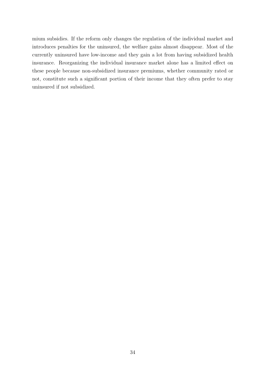mium subsidies. If the reform only changes the regulation of the individual market and introduces penalties for the uninsured, the welfare gains almost disappear. Most of the currently uninsured have low-income and they gain a lot from having subsidized health insurance. Reorganizing the individual insurance market alone has a limited effect on these people because non-subsidized insurance premiums, whether community rated or not, constitute such a significant portion of their income that they often prefer to stay uninsured if not subsidized.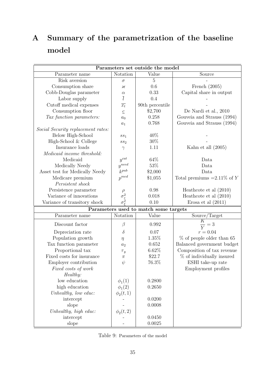# A Summary of the parametrization of the baseline model

| Parameters set outside the model   |                                                                                           |                                       |                               |  |  |
|------------------------------------|-------------------------------------------------------------------------------------------|---------------------------------------|-------------------------------|--|--|
| Parameter name                     | Notation                                                                                  | Value                                 | Source                        |  |  |
| Risk aversion                      | $\sigma$                                                                                  | $\overline{5}$                        |                               |  |  |
| Consumption share                  | Н                                                                                         | 0.6                                   | French $(2005)$               |  |  |
| Cobb-Douglas parameter             | $\alpha$                                                                                  | 0.33                                  | Capital share in output       |  |  |
| Labor supply                       | $\overline{l}$                                                                            | 0.4                                   |                               |  |  |
| Cutoff medical expenses            | $\overline{x_t}$                                                                          | 90th percentile                       |                               |  |  |
| Consumption floor                  | $\underline{c}$                                                                           | \$2,700                               | De Nardi et al., 2010         |  |  |
| Tax function parameters:           | $a_0$                                                                                     | 0.258                                 | Gouveia and Strauss (1994)    |  |  |
|                                    | $\boldsymbol{a}_1$                                                                        | 0.768                                 | Gouveia and Strauss (1994)    |  |  |
| Social Security replacement rates: |                                                                                           |                                       |                               |  |  |
| Below High-School                  | $ss_1$                                                                                    | 40\%                                  |                               |  |  |
| High-School & College              | $ss_2$                                                                                    | $30\%$                                |                               |  |  |
| Insurance loads                    | $\gamma$                                                                                  | 1.11                                  | Kahn et all $(2005)$          |  |  |
| Medicaid income threshold:         |                                                                                           |                                       |                               |  |  |
| Medicaid                           | $y^{cat}$                                                                                 | 64\%                                  | Data                          |  |  |
| Medically Needy                    | $y^{need}$                                                                                | 53%                                   | Data                          |  |  |
| Asset test for Medically Needy     | $k^{pub}$                                                                                 | \$2,000                               | Data                          |  |  |
| Medicare premium                   | $p^{med}$                                                                                 | \$1,055                               | Total premiums $=2.11\%$ of Y |  |  |
| Persistent shock                   |                                                                                           |                                       |                               |  |  |
| Persistence parameter              |                                                                                           | 0.98                                  | Heathcote et al $(2010)$      |  |  |
| Variance of innovations            | $\begin{array}{c}\n\rho \\ \sigma_{\varepsilon}^2 \\ \sigma_{\varepsilon}^2\n\end{array}$ | 0.018                                 | Heathcote et al $(2010)$      |  |  |
| Variance of transitory shock       |                                                                                           | 0.10                                  | Erosa et al $(2011)$          |  |  |
|                                    |                                                                                           | Parameters used to match some targets |                               |  |  |
| Parameter name                     | Notation                                                                                  | Value                                 | Source/Target                 |  |  |
| Discount factor                    | $\beta$                                                                                   | 0.992                                 | K<br>$\overline{Y} = 3$       |  |  |
| Depreciation rate                  | $\delta$                                                                                  | 0.07                                  | $r = 0.04$                    |  |  |
| Population growth                  | $\eta$                                                                                    | 1.35%                                 | $%$ of people older than 65   |  |  |
| Tax function parameter             | $a_2$                                                                                     | 0.652                                 | Balanced government budget    |  |  |
| Proportional tax                   | $\tau_y$                                                                                  | 6.62%                                 | Composition of tax revenue    |  |  |
| Fixed costs for insurance          | $\pi$                                                                                     | \$22.7                                | % of individually insured     |  |  |
| Employer contribution              | $\psi$                                                                                    | 76.3%                                 | ESHI take-up rate             |  |  |
| Fixed costs of work                |                                                                                           |                                       | Employment profiles           |  |  |
| Healthy:                           |                                                                                           |                                       |                               |  |  |
| low education                      | $\phi_1(1)$                                                                               | 0.2800                                |                               |  |  |
| high education                     | $\phi_1(2)$                                                                               | 0.2650                                |                               |  |  |
| Unhealthy, low educ:               | $\phi_2(t,1)$                                                                             |                                       |                               |  |  |
| intercept                          |                                                                                           | 0.0200                                |                               |  |  |
| slope                              |                                                                                           | 0.0008                                |                               |  |  |
| Unhealthy, high educ:              | $\phi_2(t, 2)$                                                                            |                                       |                               |  |  |
| intercept                          |                                                                                           | 0.0450                                |                               |  |  |
| slope                              |                                                                                           | 0.0025                                |                               |  |  |

Table 9: Parameters of the model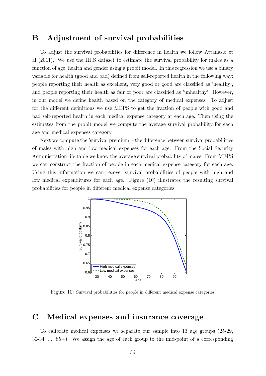## B Adjustment of survival probabilities

To adjust the survival probabilities for difference in health we follow Attanasio et al (2011). We use the HRS dataset to estimate the survival probability for males as a function of age, health and gender using a probit model. In this regression we use a binary variable for health (good and bad) defined from self-reported health in the following way: people reporting their health as excellent, very good or good are classified as 'healthy', and people reporting their health as fair or poor are classified as 'unhealthy'. However, in our model we define health based on the category of medical expenses. To adjust for the different definitions we use MEPS to get the fraction of people with good and bad self-reported health in each medical expense category at each age. Then using the estimates from the probit model we compute the average survival probability for each age and medical expenses category.

Next we compute the 'survival premium' - the difference between survival probabilities of males with high and low medical expenses for each age. From the Social Security Administration life table we know the average survival probability of males. From MEPS we can construct the fraction of people in each medical expense category for each age. Using this information we can recover survival probabilities of people with high and low medical expenditures for each age. Figure (10) illustrates the resulting survival probabilities for people in different medical expense categories.



Figure 10: Survival probabilities for people in different medical expense categories

## C Medical expenses and insurance coverage

To calibrate medical expenses we separate our sample into 13 age groups (25-29, 30-34, ..., 85+). We assign the age of each group to the mid-point of a corresponding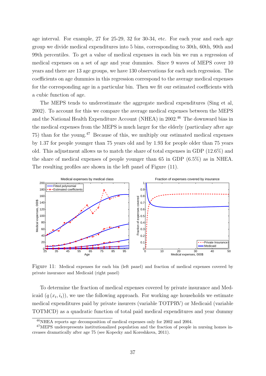age interval. For example, 27 for 25-29, 32 for 30-34, etc. For each year and each age group we divide medical expenditures into 5 bins, corresponding to 30th, 60th, 90th and 99th percentiles. To get a value of medical expenses in each bin we run a regression of medical expenses on a set of age and year dummies. Since 9 waves of MEPS cover 10 years and there are 13 age groups, we have 130 observations for each such regression. The coefficients on age dummies in this regression correspond to the average medical expenses for the corresponding age in a particular bin. Then we fit our estimated coefficients with a cubic function of age.

The MEPS tends to underestimate the aggregate medical expenditures (Sing et al, 2002). To account for this we compare the average medical expenses between the MEPS and the National Health Expenditure Account (NHEA) in 2002.<sup>46</sup> The downward bias in the medical expenses from the MEPS is much larger for the elderly (particulary after age 75) than for the young.<sup>47</sup> Because of this, we multiply our estimated medical expenses by 1.37 for people younger than 75 years old and by 1.93 for people older than 75 years old. This adjustment allows us to match the share of total expenses in GDP (12.6%) and the share of medical expenses of people younger than 65 in GDP (6.5%) as in NHEA. The resulting profiles are shown in the left panel of Figure (11).



Figure 11: Medical expenses for each bin (left panel) and fraction of medical expenses covered by private insurance and Medicaid (right panel)

To determine the fraction of medical expenses covered by private insurance and Medicaid  $(q(x_t, i_t))$ , we use the following approach. For working age households we estimate medical expenditures paid by private insurers (variable TOTPRV) or Medicaid (variable TOTMCD) as a quadratic function of total paid medical expenditures and year dummy

<sup>46</sup>NHEA reports age decomposition of medical expenses only for 2002 and 2004.

<sup>&</sup>lt;sup>47</sup>MEPS underepresents institutionalized population and the fraction of people in nursing homes increases dramatically after age 75 (see Kopecky and Koreshkova, 2011).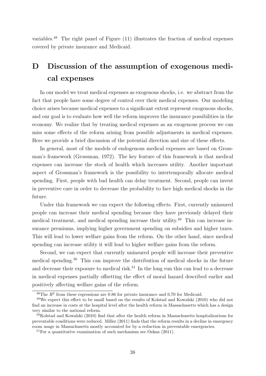variables.<sup>48</sup> The right panel of Figure (11) illustrates the fraction of medical expenses covered by private insurance and Medicaid.

# D Discussion of the assumption of exogenous medical expenses

In our model we treat medical expenses as exogenous shocks, i.e. we abstract from the fact that people have some degree of control over their medical expenses. Our modeling choice arises because medical expenses to a significant extent represent exogenous shocks, and our goal is to evaluate how well the reform improves the insurance possibilities in the economy. We realize that by treating medical expenses as an exogenous process we can miss some effects of the reform arising from possible adjustments in medical expenses. Here we provide a brief discussion of the potential direction and size of these effects.

In general, most of the models of endogenous medical expenses are based on Grossman's framework (Grossman, 1972). The key feature of this framework is that medical expenses can increase the stock of health which increases utility. Another important aspect of Grossman's framework is the possibility to intertemporally allocate medical spending. First, people with bad health can delay treatment. Second, people can invest in preventive care in order to decrease the probability to face high medical shocks in the future.

Under this framework we can expect the following effects. First, currently uninsured people can increase their medical spending because they have previously delayed their medical treatment, and medical spending increase their utility.<sup>49</sup> This can increase insurance premiums, implying higher government spending on subsidies and higher taxes. This will lead to lower welfare gains from the reform. On the other hand, since medical spending can increase utility it will lead to higher welfare gains from the reform.

Second, we can expect that currently uninsured people will increase their preventive medical spending.<sup>50</sup> This can improve the distribution of medical shocks in the future and decrease their exposure to medical risk.<sup>51</sup> In the long run this can lead to a decrease in medical expenses partially offsetting the effect of moral hazard described earlier and positively affecting welfare gains of the reform.

 $^{48}$ The  $R^2$  from these regressions are 0.86 for private insurance and 0.70 for Medicaid.

<sup>49</sup>We expect this effect to be small based on the results of Kolstad and Kowalski (2010) who did not find an increase in costs at the hospital level after the health reform in Massachusetts which has a design very similar to the national reform.

<sup>&</sup>lt;sup>50</sup>Kolstad and Kowalski (2010) find that after the health reform in Massachusetts hospitalizations for preventable conditions were reduced. Miller (2011) finds that the reform results in a decline in emergency room usage in Massachusetts mostly accounted for by a reduction in preventable emergencies.

 $51$  For a quantitative examination of such mechanism see Ozkan (2011).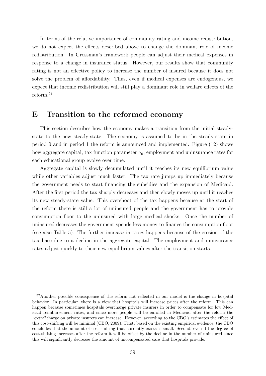In terms of the relative importance of community rating and income redistribution, we do not expect the effects described above to change the dominant role of income redistribution. In Grossman's framework people can adjust their medical expenses in response to a change in insurance status. However, our results show that community rating is not an effective policy to increase the number of insured because it does not solve the problem of affordability. Thus, even if medical expenses are endogenous, we expect that income redistribution will still play a dominant role in welfare effects of the reform.<sup>52</sup>

## E Transition to the reformed economy

This section describes how the economy makes a transition from the initial steadystate to the new steady-state. The economy is assumed to be in the steady-state in period 0 and in period 1 the reform is announced and implemented. Figure (12) shows how aggregate capital, tax function parameter  $a_0$ , employment and uninsurance rates for each educational group evolve over time.

Aggregate capital is slowly decumulated until it reaches its new equilibrium value while other variables adjust much faster. The tax rate jumps up immediately because the government needs to start financing the subsidies and the expansion of Medicaid. After the first period the tax sharply decreases and then slowly moves up until it reaches its new steady-state value. This overshoot of the tax happens because at the start of the reform there is still a lot of uninsured people and the government has to provide consumption floor to the uninsured with large medical shocks. Once the number of uninsured decreases the government spends less money to finance the consumption floor (see also Table 5). The further increase in taxes happens because of the erosion of the tax base due to a decline in the aggregate capital. The employment and uninsurance rates adjust quickly to their new equilibrium values after the transition starts.

<sup>&</sup>lt;sup>52</sup>Another possible consequence of the reform not reflected in our model is the change in hospital behavior. In particular, there is a view that hospitals will increase prices after the reform. This can happen because sometimes hospitals overcharge private insurers in order to compensate for low Medicaid reimbursement rates, and since more people will be enrolled in Medicaid after the reform the "extra"charge on private insurers can increase. However, according to the CBO's estimates the effect of this cost-shifting will be minimal (CBO, 2009). First, based on the existing empirical evidence, the CBO concludes that the amount of cost-shifting that currently exists is small. Second, even if the degree of cost-shifting increases after the reform it will be offset by the decline in the number of uninsured since this will significantly decrease the amount of uncompensated care that hospitals provide.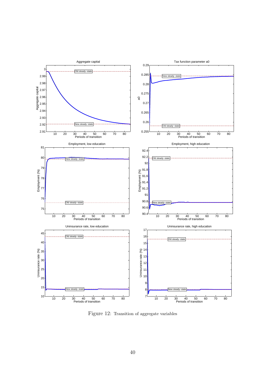

Figure 12: Transition of aggregate variables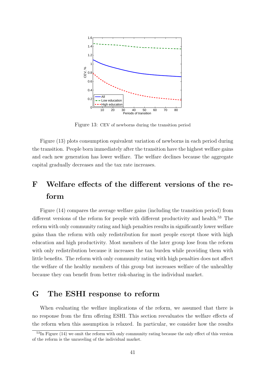

Figure 13: CEV of newborns during the transition period

Figure (13) plots consumption equivalent variation of newborns in each period during the transition. People born immediately after the transition have the highest welfare gains and each new generation has lower welfare. The welfare declines because the aggregate capital gradually decreases and the tax rate increases.

# F Welfare effects of the different versions of the reform

Figure (14) compares the average welfare gains (including the transition period) from different versions of the reform for people with different productivity and health.<sup>53</sup> The reform with only community rating and high penalties results in significantly lower welfare gains than the reform with only redistribution for most people except those with high education and high productivity. Most members of the later group lose from the reform with only redistribution because it increases the tax burden while providing them with little benefits. The reform with only community rating with high penalties does not affect the welfare of the healthy members of this group but increases welfare of the unhealthy because they can benefit from better risk-sharing in the individual market.

## G The ESHI response to reform

When evaluating the welfare implications of the reform, we assumed that there is no response from the firm offering ESHI. This section reevaluates the welfare effects of the reform when this assumption is relaxed. In particular, we consider how the results

<sup>53</sup>In Figure (14) we omit the reform with only community rating because the only effect of this version of the reform is the unraveling of the individual market.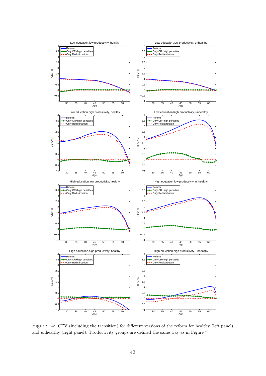

Figure 14: CEV (including the transition) for different versions of the reform for healthy (left panel) and unhealthy (right panel). Productivity groups are defined the same way as in Figure 7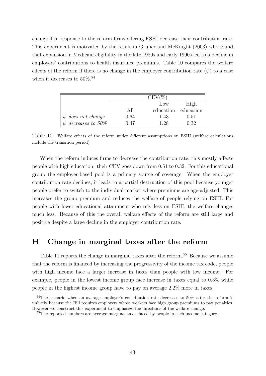change if in response to the reform firms offering ESHI decrease their contribution rate. This experiment is motivated by the result in Gruber and McKnight (2003) who found that expansion in Medicaid eligibility in the late 1980s and early 1990s led to a decline in employers' contributions to health insurance premiums. Table 10 compares the welfare effects of the reform if there is no change in the employer contribution rate  $(\psi)$  to a case when it decreases to  $50\%$ <sup>54</sup>

|                         |      | $CEV(\%)$ |                     |
|-------------------------|------|-----------|---------------------|
|                         |      | Low       | High                |
|                         | All  |           | education education |
| $\psi$ does not change  | 0.64 | 1.43      | (0.51)              |
| $\psi$ decreases to 50% | 0.47 | 1.28      | 0.32                |

Table 10: Welfare effects of the reform under different assumptions on ESHI (welfare calculations include the transition period)

When the reform induces firms to decrease the contribution rate, this mostly affects people with high education: their CEV goes down from 0.51 to 0.32. For this educational group the employer-based pool is a primary source of coverage. When the employer contribution rate declines, it leads to a partial destruction of this pool because younger people prefer to switch to the individual market where premiums are age-adjusted. This increases the group premium and reduces the welfare of people relying on ESHI. For people with lower educational attainment who rely less on ESHI, the welfare changes much less. Because of this the overall welfare effects of the reform are still large and positive despite a large decline in the employer contribution rate.

## H Change in marginal taxes after the reform

Table 11 reports the change in marginal taxes after the reform.<sup>55</sup> Because we assume that the reform is financed by increasing the progressivity of the income tax code, people with high income face a larger increase in taxes than people with low income. For example, people in the lowest income group face increase in taxes equal to 0.3% while people in the highest income group have to pay on average 2.2% more in taxes.

<sup>&</sup>lt;sup>54</sup>The scenario when an average employer's contribution rate decreases to 50% after the reform is unlikely because the Bill requires employers whose workers face high group premiums to pay penalties. However we construct this experiment to emphasize the directions of the welfare change.

<sup>&</sup>lt;sup>55</sup>The reported numbers are average marginal taxes faced by people in each income category.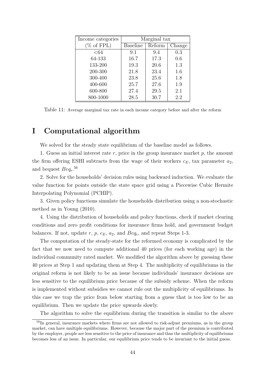| Income categories     | Marginal tax    |        |        |  |  |  |
|-----------------------|-----------------|--------|--------|--|--|--|
| $(\% \text{ of FPL})$ | <b>Baseline</b> | Reform | Change |  |  |  |
| ${<}64$               | 9.1             | 9.4    | 0.3    |  |  |  |
| 64-133                | 16.7            | 17.3   | 0.6    |  |  |  |
| 133-200               | 19.3            | 20.6   | 1.3    |  |  |  |
| 200-300               | 21.8            | 23.4   | 1.6    |  |  |  |
| 300-400               | 23.8            | 25.6   | 1.8    |  |  |  |
| 400-600               | 25.7            | 27.6   | 1.9    |  |  |  |
| 600-800               | 27.4            | 29.5   | 2.1    |  |  |  |
| 800-1000              | 28.5            | 30.7   | 2.2    |  |  |  |

Table 11: Average marginal tax rate in each income category before and after the reform

## I Computational algorithm

We solved for the steady state equilibrium of the baseline model as follows.

1. Guess an initial interest rate  $r$ , price in the group insurance market  $p$ , the amount the firm offering ESHI subtracts from the wage of their workers  $c_E$ , tax parameter  $a_2$ , and bequest  $Beq_e$ .<sup>56</sup>

2. Solve for the households' decision rules using backward induction. We evaluate the value function for points outside the state space grid using a Piecewise Cubic Hermite Interpolating Polynomial (PCHIP).

3. Given policy functions simulate the households distribution using a non-stochastic method as in Young (2010).

4. Using the distribution of households and policy functions, check if market clearing conditions and zero profit conditions for insurance firms hold, and government budget balances. If not, update  $r$ ,  $p$ ,  $c_E$ ,  $a_2$ , and  $Beq_e$ , and repeat Steps 1-3.

The computation of the steady-state for the reformed economy is complicated by the fact that we now need to compute additional 40 prices (for each working age) in the individual community rated market. We modified the algorithm above by guessing these 40 prices at Step 1 and updating them at Step 4. The multiplicity of equilibriums in the original reform is not likely to be an issue because individuals' insurance decisions are less sensitive to the equilibrium price because of the subsidy scheme. When the reform is implemented without subsidies we cannot rule out the multiplicity of equilibriums. In this case we trap the price from below starting from a guess that is too low to be an equilibrium. Then we update the price upwards slowly.

The algorithm to solve the equilibrium during the transition is similar to the above

<sup>&</sup>lt;sup>56</sup>In general, insurance markets where firms are not allowed to risk-adjust premiums, as in the group market, can have multiple equilibriums. However, because the major part of the premium is contributed by the employer, people are less sensitive to the price of insurance and thus the multiplicity of equilibriums becomes less of an issue. In particular, our equilibrium price tends to be invariant to the initial guess.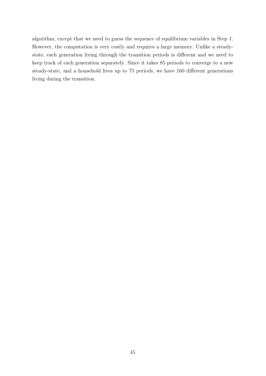algorithm, except that we need to guess the sequence of equilibrium variables in Step 1. However, the computation is very costly and requires a large memory. Unlike a steadystate, each generation living through the transition periods is different and we need to keep track of each generation separately. Since it takes 85 periods to converge to a new steady-state, and a household lives up to 75 periods, we have 160 different generations living during the transition.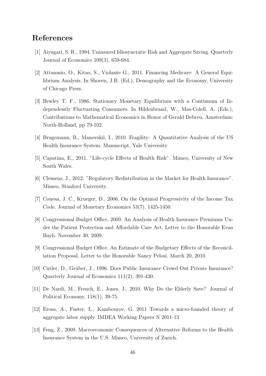# References

- [1] Aiyagari, S. R., 1994. Uninsured Idiosyncratic Risk and Aggregate Saving. Quarterly Journal of Economics 109(3), 659-684.
- [2] Attanasio, O., Kitao, S., Violante G., 2011. Financing Medicare: A General Equilibrium Analysis. In Shoven, J.B. (Ed.), Demography and the Economy, University of Chicago Press.
- [3] Bewley T. F., 1986. Stationary Monetary Equilibrium with a Continuum of Independently Fluctuating Consumers. In Hildenbrand, W., Mas-Colell, A. (Eds.), Contributions to Mathematical Economics in Honor of Gerald Debreu, Amsterdam: North-Holland, pp 79-102.
- [4] Brugemann, B., Manovskii, I., 2010. Fragility: A Quantitative Analysis of the US Health Insurance System. Manuscript, Yale University
- [5] Capatina, E., 2011. "Life-cycle Effects of Health Risk". Mimeo, University of New South Wales.
- [6] Clemens, J., 2012. "Regulatory Redistribution in the Market for Health Insurance". Mimeo, Stanford University.
- [7] Conesa, J. C., Krueger, D., 2006. On the Optimal Progressivity of the Income Tax Code. Journal of Monetary Economics 53(7), 1425-1450.
- [8] Congressional Budget Office, 2009. An Analysis of Health Insurance Premiums Under the Patient Protection and Affordable Care Act. Letter to the Honorable Evan Bayh. November 30, 2009.
- [9] Congressional Budget Office. An Estimate of the Budgetary Effects of the Reconciliation Proposal. Letter to the Honorable Nancy Pelosi. March 20, 2010.
- [10] Cutler, D., Gruber, J., 1996. Does Public Insurance Crowd Out Private Insurance? Quarterly Journal of Economics 111(2), 391-430.
- [11] De Nardi, M., French, E., Jones, J., 2010. Why Do the Elderly Save? Journal of Political Economy, 118(1), 39-75.
- [12] Erosa, A., Fuster, L., Kambourov, G. 2011 Towards a micro-founded theory of aggregate labor supply. IMDEA Working Papers N 2011-13
- [13] Feng, Z., 2009. Macroeconomic Consequences of Alternative Reforms to the Health Insurance System in the U.S. Mimeo, University of Zurich.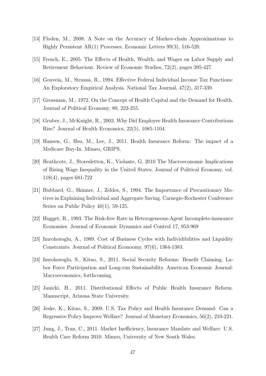- [14] Floden, M., 2008. A Note on the Accuracy of Markov-chain Approximations to Highly Persistent AR(1) Processes. Economic Letters 99(3), 516-520.
- [15] French, E., 2005. The Effects of Health, Wealth, and Wages on Labor Supply and Retirement Behaviour. Review of Economic Studies, 72(2), pages 395-427.
- [16] Gouveia, M., Strauss, R., 1994. Effective Federal Individual Income Tax Functions: An Exploratory Empirical Analysis. National Tax Journal, 47(2), 317-339.
- [17] Grossman, M., 1972. On the Concept of Health Capital and the Demand for Health. Journal of Political Economy, 80, 223-255.
- [18] Gruber, J., McKnight, R., 2003. Why Did Employee Health Insurance Contributions Rise? Journal of Health Economics, 22(5), 1085-1104.
- [19] Hansen, G., Hsu, M., Lee, J., 2011. Health Insurance Reform: The impact of a Medicare Buy-In. Mimeo, GRIPS.
- [20] Heathcote, J., Storesletten, K., Violante, G. 2010 The Macroeconomic Implications of Rising Wage Inequality in the United States. Journal of Political Economy, vol. 118(4), pages 681-722
- [21] Hubbard, G., Skinner, J., Zeldes, S., 1994. The Importance of Precautionary Motives in Explaining Individual and Aggregate Saving. Carnegie-Rochester Conference Series on Public Policy 40(1), 59-125.
- [22] Hugget, R., 1993. The Risk-free Rate in Heterogeneous-Agent Incomplete-insurance Economies. Journal of Economic Dynamics and Control 17, 953-969
- [23] Imrohoroglu, A., 1989. Cost of Business Cycles with Individibilities and Liquidity Constraints. Journal of Political Econoomy, 97(6), 1364-1383.
- [24] Imrohoroglu, S., Kitao, S., 2011. Social Security Reforms: Benefit Claiming, Labor Force Participation and Long-run Sustainability. American Economic Journal: Macroeconomics, forthcoming.
- [25] Janicki, H., 2011. Distributional Effects of Public Health Insurance Reform. Manuscript, Arizona State University.
- [26] Jeske, K., Kitao, S., 2009. U.S. Tax Policy and Health Insurance Demand: Can a Regressive Policy Improve Welfare? Journal of Monetary Economics, 56(2), 210-221.
- [27] Jung, J., Tran, C., 2011. Market Inefficiency, Insurance Mandate and Welfare: U.S. Health Care Reform 2010. Mimeo, University of New South Wales.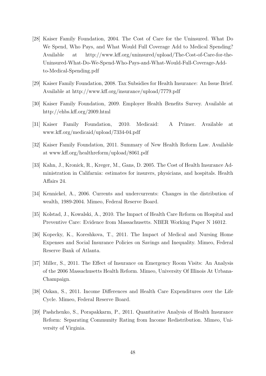- [28] Kaiser Family Foundation, 2004. The Cost of Care for the Uninsured. What Do We Spend, Who Pays, and What Would Full Coverage Add to Medical Spending? Available at http://www.kff.org/uninsured/upload/The-Cost-of-Care-for-the-Uninsured-What-Do-We-Spend-Who-Pays-and-What-Would-Full-Coverage-Addto-Medical-Spending.pdf
- [29] Kaiser Family Foundation, 2008. Tax Subsidies for Health Insurance: An Issue Brief. Available at http://www.kff.org/insurance/upload/7779.pdf
- [30] Kaiser Family Foundation, 2009. Employer Health Benefits Survey. Available at http://ehbs.kff.org/2009.html
- [31] Kaiser Family Foundation, 2010. Medicaid: A Primer. Available at www.kff.org/medicaid/upload/7334-04.pdf
- [32] Kaiser Family Foundation, 2011. Summary of New Health Reform Law. Available at www.kff.org/healthreform/upload/8061.pdf
- [33] Kahn, J., Kronick, R., Kreger, M., Gans, D. 2005. The Cost of Health Insurance Administration in Califarnia: estimates for insurers, physicians, and hospitals. Health Affairs 24.
- [34] Kennickel, A., 2006. Currents and undercurrents: Changes in the distribution of wealth, 1989-2004. Mimeo, Federal Reserve Board.
- [35] Kolstad, J., Kowalski, A., 2010. The Impact of Health Care Reform on Hospital and Preventive Care: Evidence from Massachusetts. NBER Working Paper N 16012.
- [36] Kopecky, K., Koreshkova, T., 2011. The Impact of Medical and Nursing Home Expenses and Social Insurance Policies on Savings and Inequality. Mimeo, Federal Reserve Bank of Atlanta.
- [37] Miller, S., 2011. The Effect of Insurance on Emergency Room Visits: An Analysis of the 2006 Massachusetts Health Reform. Mimeo, University Of Illinois At Urbana-Champaign.
- [38] Ozkan, S., 2011. Income Differences and Health Care Expenditures over the Life Cycle. Mimeo, Federal Reserve Board.
- [39] Pashchenko, S., Porapakkarm, P., 2011. Quantitative Analysis of Health Insurance Reform: Separating Community Rating from Income Redistribution. Mimeo, University of Virginia.